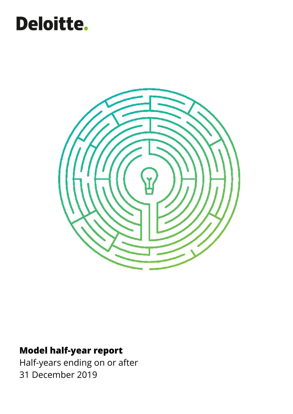# Deloitte.



# **Model half-year report**

Half-years ending on or after 31 December 2019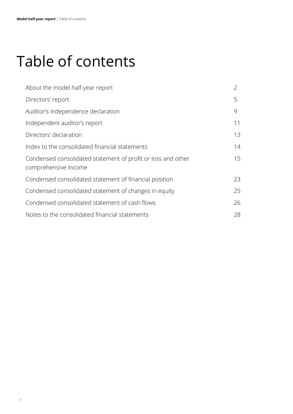# Table of contents

| About the model half-year report                                                     | $\overline{2}$ |
|--------------------------------------------------------------------------------------|----------------|
| Directors' report                                                                    | 5              |
| Auditor's independence declaration                                                   | 9              |
| Independent auditor's report                                                         | 11             |
| Directors' declaration                                                               | 13             |
| Index to the consolidated financial statements                                       | 14             |
| Condensed consolidated statement of profit or loss and other<br>comprehensive income | 15             |
| Condensed consolidated statement of financial position                               | 23             |
| Condensed consolidated statement of changes in equity                                | 25             |
| Condensed consolidated statement of cash flows                                       | 26             |
| Notes to the consolidated financial statements                                       | 28             |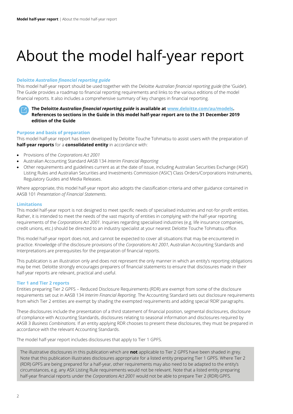# <span id="page-2-0"></span>About the model half-year report

# **Deloitte** *Australian financial reporting guide*

This model half-year report should be used together with the Deloitte *Australian financial reporting guide* (the 'Guide'). The Guide provides a roadmap to financial reporting requirements and links to the various editions of the model financial reports. It also includes a comprehensive summary of key changes in financial reporting.



# **Purpose and basis of preparation**

This model half-year report has been developed by Deloitte Touche Tohmatsu to assist users with the preparation of **half-year reports** for a **consolidated entity** in accordance with:

- Provisions of the *Corporations Act 2001*
- Australian Accounting Standard AASB 134 *Interim Financial Reporting*
- Other requirements and guidelines current as at the date of issue, including Australian Securities Exchange ('ASX') Listing Rules and Australian Securities and Investments Commission ('ASIC') Class Orders/Corporations Instruments, Regulatory Guides and Media Releases.

Where appropriate, this model half-year report also adopts the classification criteria and other guidance contained in AASB 101 *Presentation of Financial Statements*.

# **Limitations**

This model half-year report is not designed to meet specific needs of specialised industries and not-for-profit entities. Rather, it is intended to meet the needs of the vast majority of entities in complying with the half-year reporting requirements of the *Corporations Act 2001*. Inquiries regarding specialised industries (e.g. life insurance companies, credit unions, etc.) should be directed to an industry specialist at your nearest Deloitte Touche Tohmatsu office.

This model half-year report does not, and cannot be expected to cover all situations that may be encountered in practice. Knowledge of the disclosure provisions of the *Corporations Act 2001*, Australian Accounting Standards and Interpretations are prerequisites for the preparation of financial reports.

This publication is an illustration only and does not represent the only manner in which an entity's reporting obligations may be met. Deloitte strongly encourages preparers of financial statements to ensure that disclosures made in their half-year reports are relevant, practical and useful.

# **Tier 1 and Tier 2 reports**

Entities preparing Tier 2 GPFS – Reduced Disclosure Requirements (RDR) are exempt from some of the disclosure requirements set out in AASB 134 *Interim Financial Reporting.* The Accounting Standard sets out disclosure requirements from which Tier 2 entities are exempt by shading the exempted requirements and adding special 'RDR' paragraphs.

These disclosures include the presentation of a third statement of financial position, segmental disclosures, disclosure of compliance with Accounting Standards, disclosures relating to seasonal information and disclosures required by AASB 3 *Business Combinations.* If an entity applying RDR chooses to present these disclosures, they must be prepared in accordance with the relevant Accounting Standards.

The model half-year report includes disclosures that apply to Tier 1 GPFS.

The illustrative disclosures in this publication which are **not** applicable to Tier 2 GPFS have been shaded in grey. Note that this publication illustrates disclosures appropriate for a listed entity preparing Tier 1 GPFS. Where Tier 2 (RDR) GPFS are being prepared for a half-year, other requirements may also need to be adapted to the entity's circumstances, e.g. any ASX Listing Rule requirements would not be relevant. Note that a listed entity preparing half-year financial reports under the *Corporations Act 2001* would not be able to prepare Tier 2 (RDR) GPFS.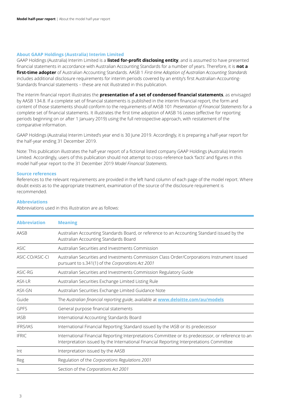# **About GAAP Holdings (Australia) Interim Limited**

GAAP Holdings (Australia) Interim Limited is a **listed for-profit disclosing entity**, and is assumed to have presented financial statements in accordance with Australian Accounting Standards for a number of years. Therefore, it is **not a first-time adopter** of Australian Accounting Standards. AASB 1 *First-time Adoption of Australian Accounting Standards* includes additional disclosure requirements for interim periods covered by an entity's first Australian-Accounting-Standards financial statements – these are not illustrated in this publication.

The interim financial report illustrates the **presentation of a set of condensed financial statements**, as envisaged by AASB 134.8. If a complete set of financial statements is published in the interim financial report, the form and content of those statements should conform to the requirements of AASB 101 *Presentation of Financial Statements* for a complete set of financial statements. It illustrates the first time adoption of AASB 16 *Leases* (effective for reporting periods beginning on or after 1 January 2019) using the full retrospective approach, with restatement of the comparative information.

GAAP Holdings (Australia) Interim Limited's year end is 30 June 2019. Accordingly, it is preparing a half-year report for the half-year ending 31 December 2019.

Note: This publication illustrates the half-year report of a fictional listed company GAAP Holdings (Australia) Interim Limited. Accordingly, users of this publication should not attempt to cross-reference back 'facts' and figures in this model half-year report to the 31 December 2019 *Model Financial Statements*.

# **Source references**

References to the relevant requirements are provided in the left hand column of each page of the model report. Where doubt exists as to the appropriate treatment, examination of the source of the disclosure requirement is recommended.

# **Abbreviations**

Abbreviations used in this illustration are as follows:

| <b>Abbreviation</b> | <b>Meaning</b>                                                                                                                                                                                 |
|---------------------|------------------------------------------------------------------------------------------------------------------------------------------------------------------------------------------------|
| AASB                | Australian Accounting Standards Board, or reference to an Accounting Standard issued by the<br>Australian Accounting Standards Board                                                           |
| <b>ASIC</b>         | Australian Securities and Investments Commission                                                                                                                                               |
| ASIC-CO/ASIC-CI     | Australian Securities and Investments Commission Class Order/Corporations Instrument issued<br>pursuant to s.341(1) of the Corporations Act 2001                                               |
| ASIC-RG             | Australian Securities and Investments Commission Regulatory Guide                                                                                                                              |
| ASX-LR              | Australian Securities Exchange Limited Listing Rule                                                                                                                                            |
| ASX-GN              | Australian Securities Exchange Limited Guidance Note                                                                                                                                           |
| Guide               | The Australian financial reporting guide, available at <b>www.deloitte.com/au/models</b>                                                                                                       |
| <b>GPFS</b>         | General purpose financial statements                                                                                                                                                           |
| <b>IASB</b>         | International Accounting Standards Board                                                                                                                                                       |
| <b>IFRS/IAS</b>     | International Financial Reporting Standard issued by the IASB or its predecessor                                                                                                               |
| <b>IFRIC</b>        | International Financial Reporting Interpretations Committee or its predecessor, or reference to an<br>Interpretation issued by the International Financial Reporting Interpretations Committee |
| Int                 | Interpretation issued by the AASB                                                                                                                                                              |
| Reg                 | Regulation of the Corporations Regulations 2001                                                                                                                                                |
| S.                  | Section of the Corporations Act 2001                                                                                                                                                           |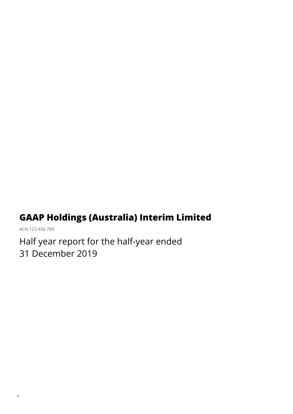# **GAAP Holdings (Australia) Interim Limited**

ACN 123 456 789

Half year report for the half-year ended 31 December 2019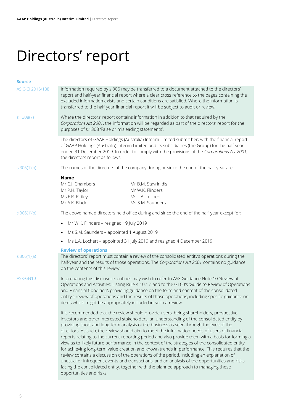# <span id="page-5-0"></span>Directors' report

| <b>Source</b>    |                                                                                                                                                                                                                                                                                                                                                                                                                                                                                                                                                                                                                                                                                                                                                                                                                                                                                                                                                                                                                |  |  |  |  |
|------------------|----------------------------------------------------------------------------------------------------------------------------------------------------------------------------------------------------------------------------------------------------------------------------------------------------------------------------------------------------------------------------------------------------------------------------------------------------------------------------------------------------------------------------------------------------------------------------------------------------------------------------------------------------------------------------------------------------------------------------------------------------------------------------------------------------------------------------------------------------------------------------------------------------------------------------------------------------------------------------------------------------------------|--|--|--|--|
| ASIC-CI 2016/188 | Information required by s.306 may be transferred to a document attached to the directors'<br>report and half-year financial report where a clear cross reference to the pages containing the<br>excluded information exists and certain conditions are satisfied. Where the information is<br>transferred to the half-year financial report it will be subject to audit or review.                                                                                                                                                                                                                                                                                                                                                                                                                                                                                                                                                                                                                             |  |  |  |  |
| s.1308(7)        | Where the directors' report contains information in addition to that required by the<br>Corporations Act 2001, the information will be regarded as part of the directors' report for the<br>purposes of s.1308 'False or misleading statements'.                                                                                                                                                                                                                                                                                                                                                                                                                                                                                                                                                                                                                                                                                                                                                               |  |  |  |  |
|                  | The directors of GAAP Holdings (Australia) Interim Limited submit herewith the financial report<br>of GAAP Holdings (Australia) Interim Limited and its subsidiaries (the Group) for the half-year<br>ended 31 December 2019. In order to comply with the provisions of the Corporations Act 2001,<br>the directors report as follows:                                                                                                                                                                                                                                                                                                                                                                                                                                                                                                                                                                                                                                                                         |  |  |  |  |
| s.306(1)(b)      | The names of the directors of the company during or since the end of the half-year are:                                                                                                                                                                                                                                                                                                                                                                                                                                                                                                                                                                                                                                                                                                                                                                                                                                                                                                                        |  |  |  |  |
|                  | <b>Name</b><br>Mr C.J. Chambers<br>Mr B.M. Stavrinidis<br>Mr W.K. Flinders<br>Mr P.H. Taylor<br>Ms F.R. Ridley<br>Ms L.A. Lochert<br>Mr A.K. Black<br>Ms S.M. Saunders                                                                                                                                                                                                                                                                                                                                                                                                                                                                                                                                                                                                                                                                                                                                                                                                                                         |  |  |  |  |
| s.306(1)(b)      | The above named directors held office during and since the end of the half-year except for:                                                                                                                                                                                                                                                                                                                                                                                                                                                                                                                                                                                                                                                                                                                                                                                                                                                                                                                    |  |  |  |  |
|                  | Mr W.K. Flinders - resigned 19 July 2019<br>$\bullet$                                                                                                                                                                                                                                                                                                                                                                                                                                                                                                                                                                                                                                                                                                                                                                                                                                                                                                                                                          |  |  |  |  |
|                  | Ms S.M. Saunders - appointed 1 August 2019<br>$\bullet$                                                                                                                                                                                                                                                                                                                                                                                                                                                                                                                                                                                                                                                                                                                                                                                                                                                                                                                                                        |  |  |  |  |
|                  | Ms L.A. Lochert - appointed 31 July 2019 and resigned 4 December 2019                                                                                                                                                                                                                                                                                                                                                                                                                                                                                                                                                                                                                                                                                                                                                                                                                                                                                                                                          |  |  |  |  |
| s.306(1)(a)      | <b>Review of operations</b><br>The directors' report must contain a review of the consolidated entity's operations during the<br>half-year and the results of those operations. The Corporations Act 2001 contains no guidance<br>on the contents of this review.                                                                                                                                                                                                                                                                                                                                                                                                                                                                                                                                                                                                                                                                                                                                              |  |  |  |  |
| ASX-GN10         | In preparing this disclosure, entities may wish to refer to ASX Guidance Note 10 'Review of<br>Operations and Activities: Listing Rule 4.10.17' and to the G100's 'Guide to Review of Operations<br>and Financial Condition', providing guidance on the form and content of the consolidated<br>entity's review of operations and the results of those operations, including specific guidance on<br>items which might be appropriately included in such a review.                                                                                                                                                                                                                                                                                                                                                                                                                                                                                                                                             |  |  |  |  |
|                  | It is recommended that the review should provide users, being shareholders, prospective<br>investors and other interested stakeholders, an understanding of the consolidated entity by<br>providing short and long-term analysis of the business as seen through the eyes of the<br>directors. As such, the review should aim to meet the information needs of users of financial<br>reports relating to the current reporting period and also provide them with a basis for forming a<br>view as to likely future performance in the context of the strategies of the consolidated entity<br>for achieving long-term value creation and known trends in performance. This requires that the<br>review contains a discussion of the operations of the period, including an explanation of<br>unusual or infrequent events and transactions, and an analysis of the opportunities and risks<br>facing the consolidated entity, together with the planned approach to managing those<br>opportunities and risks. |  |  |  |  |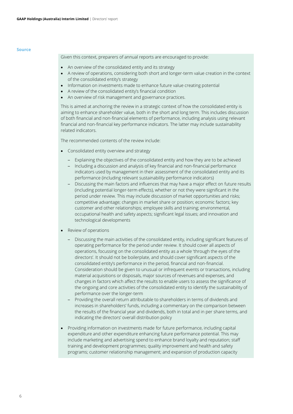Given this context, preparers of annual reports are encouraged to provide:

- An overview of the consolidated entity and its strategy
- A review of operations, considering both short and longer-term value creation in the context of the consolidated entity's strategy
- Information on investments made to enhance future value creating potential
- A review of the consolidated entity's financial condition
- An overview of risk management and governance practices.

This is aimed at anchoring the review in a strategic context of how the consolidated entity is aiming to enhance shareholder value, both in the short and long term. This includes discussion of both financial and non-financial elements of performance, including analysis using relevant financial and non-financial key performance indicators. The latter may include sustainability related indicators.

The recommended contents of the review include:

- Consolidated entity overview and strategy
	- ‒ Explaining the objectives of the consolidated entity and how they are to be achieved
	- ‒ Including a discussion and analysis of key financial and non-financial performance indicators used by management in their assessment of the consolidated entity and its performance (including relevant sustainability performance indicators)
	- ‒ Discussing the main factors and influences that may have a major effect on future results (including potential longer-term effects), whether or not they were significant in the period under review. This may include discussion of market opportunities and risks; competitive advantage; changes in market share or position; economic factors; key customer and other relationships; employee skills and training; environmental, occupational health and safety aspects; significant legal issues; and innovation and technological developments
- Review of operations
	- Discussing the main activities of the consolidated entity, including significant features of operating performance for the period under review. It should cover all aspects of operations, focussing on the consolidated entity as a whole 'through the eyes of the directors'. It should not be boilerplate, and should cover significant aspects of the consolidated entity's performance in the period, financial and non-financial. Consideration should be given to unusual or infrequent events or transactions, including material acquisitions or disposals, major sources of revenues and expenses, and changes in factors which affect the results to enable users to assess the significance of the ongoing and core activities of the consolidated entity to identify the sustainability of performance over the longer-term
	- ‒ Providing the overall return attributable to shareholders in terms of dividends and increases in shareholders' funds, including a commentary on the comparison between the results of the financial year and dividends, both in total and in per share terms, and indicating the directors' overall distribution policy
- Providing information on investments made for future performance, including capital expenditure and other expenditure enhancing future performance potential. This may include marketing and advertising spend to enhance brand loyalty and reputation; staff training and development programmes; quality improvement and health and safety programs; customer relationship management; and expansion of production capacity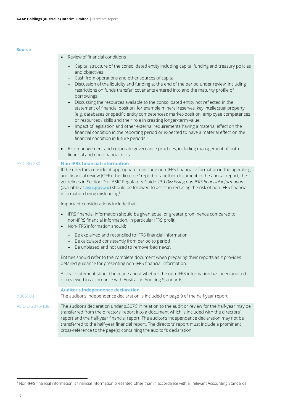| Source             |                                                                                                                                                                                                                                                                                                                                                                                                                                                                                                                                                                                                                                                                                                                                                                                                                                                                                                                                                                                                                                         |
|--------------------|-----------------------------------------------------------------------------------------------------------------------------------------------------------------------------------------------------------------------------------------------------------------------------------------------------------------------------------------------------------------------------------------------------------------------------------------------------------------------------------------------------------------------------------------------------------------------------------------------------------------------------------------------------------------------------------------------------------------------------------------------------------------------------------------------------------------------------------------------------------------------------------------------------------------------------------------------------------------------------------------------------------------------------------------|
|                    | Review of financial conditions                                                                                                                                                                                                                                                                                                                                                                                                                                                                                                                                                                                                                                                                                                                                                                                                                                                                                                                                                                                                          |
|                    | Capital structure of the consolidated entity including capital funding and treasury policies<br>and objectives<br>Cash from operations and other sources of capital<br>Discussion of the liquidity and funding at the end of the period under review, including<br>restrictions on funds transfer, covenants entered into and the maturity profile of<br>borrowings<br>Discussing the resources available to the consolidated entity not reflected in the<br>statement of financial position, for example mineral reserves, key intellectual property<br>(e.g. databases or specific entity competences); market-position; employee competences<br>or resources / skills and their role in creating longer-term value<br>Impact of legislation and other external requirements having a material effect on the<br>financial condition in the reporting period or expected to have a material effect on the<br>financial condition in future periods<br>Risk management and corporate governance practices, including management of both |
|                    | financial and non-financial risks.                                                                                                                                                                                                                                                                                                                                                                                                                                                                                                                                                                                                                                                                                                                                                                                                                                                                                                                                                                                                      |
| <b>ASIC-RG 230</b> | <b>Non-IFRS financial information</b>                                                                                                                                                                                                                                                                                                                                                                                                                                                                                                                                                                                                                                                                                                                                                                                                                                                                                                                                                                                                   |
|                    | If the directors consider it appropriate to include non-IFRS financial information in the operating<br>and financial review (OFR), the directors' report or another document in the annual report, the<br>guidelines in Section D of ASIC Regulatory Guide 230 Disclosing non-IFRS financial information<br>(available at asic.gov.au) should be followed to assist in reducing the risk of non-IFRS financial<br>information being misleading <sup>1</sup> .                                                                                                                                                                                                                                                                                                                                                                                                                                                                                                                                                                           |
|                    | Important considerations include that:                                                                                                                                                                                                                                                                                                                                                                                                                                                                                                                                                                                                                                                                                                                                                                                                                                                                                                                                                                                                  |
|                    | IFRS financial information should be given equal or greater prominence compared to<br>non-IFRS financial information, in particular IFRS profit<br>Non-IFRS information should:                                                                                                                                                                                                                                                                                                                                                                                                                                                                                                                                                                                                                                                                                                                                                                                                                                                         |
|                    | - Be explained and reconciled to IFRS financial information<br>Be calculated consistently from period to period<br>Be unbiased and not used to remove 'bad news'.                                                                                                                                                                                                                                                                                                                                                                                                                                                                                                                                                                                                                                                                                                                                                                                                                                                                       |
|                    | Entities should refer to the complete document when preparing their reports as it provides<br>detailed guidance for presenting non-IFRS financial information.                                                                                                                                                                                                                                                                                                                                                                                                                                                                                                                                                                                                                                                                                                                                                                                                                                                                          |
|                    | A clear statement should be made about whether the non-IFRS information has been audited<br>or reviewed in accordance with Australian Auditing Standards.                                                                                                                                                                                                                                                                                                                                                                                                                                                                                                                                                                                                                                                                                                                                                                                                                                                                               |
| s.306(1A)          | <b>Auditor's independence declaration</b><br>The auditor's independence declaration is included on page 9 of the half-year report.                                                                                                                                                                                                                                                                                                                                                                                                                                                                                                                                                                                                                                                                                                                                                                                                                                                                                                      |
| ASIC-CI 2016/188   | The auditor's declaration under s.307C in relation to the audit or review for the half-year may be<br>transferred from the directors' report into a document which is included with the directors'<br>report and the half-year financial report. The auditor's independence declaration may not be<br>transferred to the half-year financial report. The directors' report must include a prominent<br>cross-reference to the page(s) containing the auditor's declaration.                                                                                                                                                                                                                                                                                                                                                                                                                                                                                                                                                             |

l

<sup>1</sup> Non-IFRS financial information is financial information presented other than in accordance with all relevant Accounting Standards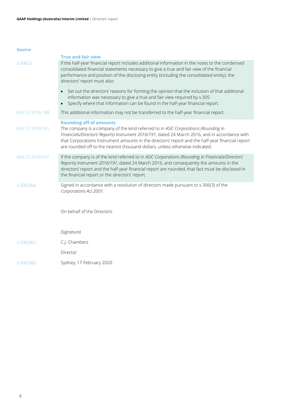|                  | <b>True and fair view</b>                                                                                                                                                                                                                                                                                                                                                                                   |
|------------------|-------------------------------------------------------------------------------------------------------------------------------------------------------------------------------------------------------------------------------------------------------------------------------------------------------------------------------------------------------------------------------------------------------------|
| 5.306(2)         | If the half-year financial report includes additional information in the notes to the condensed<br>consolidated financial statements necessary to give a true and fair view of the financial<br>performance and position of the disclosing entity (including the consolidated entity), the<br>directors' report must also:                                                                                  |
|                  | Set out the directors' reasons for forming the opinion that the inclusion of that additional<br>information was necessary to give a true and fair view required by s.305<br>Specify where that information can be found in the half-year financial report.<br>$\bullet$                                                                                                                                     |
| ASIC-CI 2016/188 | This additional information may not be transferred to the half-year financial report.                                                                                                                                                                                                                                                                                                                       |
| ASIC-CI 2016/191 | <b>Rounding off of amounts</b><br>The company is a company of the kind referred to in ASIC Corporations (Rounding in<br>Financials/Directors' Reports) Instrument 2016/191, dated 24 March 2016, and in accordance with<br>that Corporations Instrument amounts in the directors' report and the half-year financial report<br>are rounded off to the nearest thousand dollars, unless otherwise indicated. |
| ASIC-CI 2016/191 | If the company is of the kind referred to in ASIC Corporations (Rounding in Financials/Directors'<br>Reports) Instrument 2016/191, dated 24 March 2016, and consequently the amounts in the<br>directors' report and the half-year financial report are rounded, that fact must be disclosed in<br>the financial report or the directors' report.                                                           |
| s.306(3)(a)      | Signed in accordance with a resolution of directors made pursuant to s.306(3) of the<br>Corporations Act 2001.                                                                                                                                                                                                                                                                                              |
|                  | On behalf of the Directors                                                                                                                                                                                                                                                                                                                                                                                  |
|                  | (Signature)                                                                                                                                                                                                                                                                                                                                                                                                 |
| s.306(3)(c)      | C.J. Chambers                                                                                                                                                                                                                                                                                                                                                                                               |
|                  | Director                                                                                                                                                                                                                                                                                                                                                                                                    |
| s.306(3)(b)      | Sydney, 17 February 2020                                                                                                                                                                                                                                                                                                                                                                                    |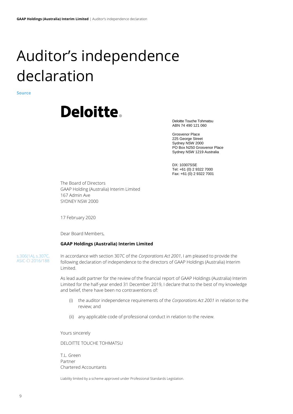# <span id="page-9-0"></span>Auditor's independence declaration

**Source**



Deloitte Touche Tohmatsu ABN 74 490 121 060

Grosvenor Place 225 George Street Sydney NSW 2000 PO Box N250 Grosvenor Place Sydney NSW 1219 Australia

DX: 10307SSE Tel: +61 (0) 2 9322 7000 Fax: +61 (0) 2 9322 7001

The Board of Directors GAAP Holding (Australia) Interim Limited 167 Admin Ave SYDNEY NSW 2000

17 February 2020

Dear Board Members,

# **GAAP Holdings (Australia) Interim Limited**

s.306(1A), s.307C, ASIC-CI 2016/188 In accordance with section 307C of the *Corporations Act 2001*, I am pleased to provide the following declaration of independence to the directors of GAAP Holdings (Australia) Interim Limited.

As lead audit partner for the review of the financial report of GAAP Holdings (Australia) Interim Limited for the half-year ended 31 December 2019, I declare that to the best of my knowledge and belief, there have been no contraventions of:

- (i) the auditor independence requirements of the *Corporations Act 2001* in relation to the review; and
- (ii) any applicable code of professional conduct in relation to the review.

Yours sincerely

DELOITTE TOUCHE TOHMATSU

T.L. Green Partner Chartered Accountants

Liability limited by a scheme approved under Professional Standards Legislation.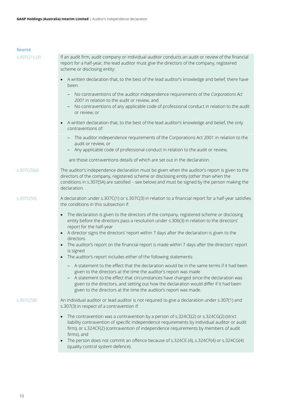# **Sour**

| Source         |                                                                                                                                                                                                                                                                                                                                                                                                                       |
|----------------|-----------------------------------------------------------------------------------------------------------------------------------------------------------------------------------------------------------------------------------------------------------------------------------------------------------------------------------------------------------------------------------------------------------------------|
| s.307C(1), (3) | If an audit firm, audit company or individual auditor conducts an audit or review of the financial<br>report for a half-year, the lead auditor must give the directors of the company, registered<br>scheme or disclosing entity:                                                                                                                                                                                     |
|                | A written declaration that, to the best of the lead auditor's knowledge and belief, there have<br>been:                                                                                                                                                                                                                                                                                                               |
|                | No contraventions of the auditor independence requirements of the Corporations Act<br>2001 in relation to the audit or review, and<br>No contraventions of any applicable code of professional conduct in relation to the audit<br>or review, or                                                                                                                                                                      |
|                | A written declaration that, to the best of the lead auditor's knowledge and belief, the only<br>contraventions of:                                                                                                                                                                                                                                                                                                    |
|                | The auditor independence requirements of the Corporations Act 2001 in relation to the<br>audit or review, or                                                                                                                                                                                                                                                                                                          |
|                | Any applicable code of professional conduct in relation to the audit or review,                                                                                                                                                                                                                                                                                                                                       |
|                | are those contraventions details of which are set out in the declaration.                                                                                                                                                                                                                                                                                                                                             |
| s.307C(5)(a)   | The auditor's independence declaration must be given when the auditor's report is given to the<br>directors of the company, registered scheme or disclosing entity (other than when the<br>conditions in s.307(5A) are satisfied - see below) and must be signed by the person making the<br>declaration.                                                                                                             |
| s.307C(5A)     | A declaration under s.307C(1) or s.307C(3) in relation to a financial report for a half-year satisfies<br>the conditions in this subsection if:                                                                                                                                                                                                                                                                       |
|                | The declaration is given to the directors of the company, registered scheme or disclosing<br>entity before the directors pass a resolution under s.306(3) in relation to the directors'<br>report for the half-year<br>A director signs the directors' report within 7 days after the declaration is given to the                                                                                                     |
|                | directors<br>The auditor's report on the financial report is made within 7 days after the directors' report<br>is signed                                                                                                                                                                                                                                                                                              |
|                | The auditor's report includes either of the following statements:<br>$\bullet$                                                                                                                                                                                                                                                                                                                                        |
|                | - A statement to the effect that the declaration would be in the same terms if it had been<br>given to the directors at the time the auditor's report was made<br>A statement to the effect that circumstances have changed since the declaration was<br>given to the directors, and setting out how the declaration would differ if it had been<br>given to the directors at the time the auditor's report was made. |
| s.307C(5B)     | An individual auditor or lead auditor is not required to give a declaration under s.307(1) and<br>s.307(3) in respect of a contravention if:                                                                                                                                                                                                                                                                          |
|                | The contravention was a contravention by a person of s.324CE(2) or s.324CG(2) (strict<br>liability contravention of specific independence requirements by individual auditor or audit<br>firm), or s.324CF(2) (contravention of independence requirements by members of audit<br>firms), and                                                                                                                          |
|                |                                                                                                                                                                                                                                                                                                                                                                                                                       |

• The person does not commit an offence because of s.324CE (4), s.324CF(4) or s.324CG(4) (quality control system defence).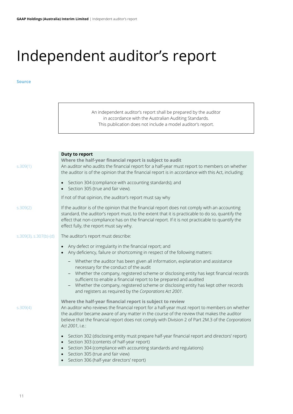$\overline{\phantom{a}}$ 

# <span id="page-11-0"></span>Independent auditor's report

|                        | An independent auditor's report shall be prepared by the auditor<br>in accordance with the Australian Auditing Standards.<br>This publication does not include a model auditor's report.                                                                                                                                                                                                                                                    |
|------------------------|---------------------------------------------------------------------------------------------------------------------------------------------------------------------------------------------------------------------------------------------------------------------------------------------------------------------------------------------------------------------------------------------------------------------------------------------|
|                        |                                                                                                                                                                                                                                                                                                                                                                                                                                             |
| s.309(1)               | <b>Duty to report</b><br>Where the half-year financial report is subject to audit<br>An auditor who audits the financial report for a half-year must report to members on whether<br>the auditor is of the opinion that the financial report is in accordance with this Act, including:                                                                                                                                                     |
|                        | Section 304 (compliance with accounting standards); and<br>Section 305 (true and fair view).                                                                                                                                                                                                                                                                                                                                                |
|                        | If not of that opinion, the auditor's report must say why                                                                                                                                                                                                                                                                                                                                                                                   |
| s.309(2)               | If the auditor is of the opinion that the financial report does not comply with an accounting<br>standard, the auditor's report must, to the extent that it is practicable to do so, quantify the<br>effect that non-compliance has on the financial report. If it is not practicable to quantify the<br>effect fully, the report must say why.                                                                                             |
| s.309(3), s.307(b)-(d) | The auditor's report must describe:                                                                                                                                                                                                                                                                                                                                                                                                         |
|                        | Any defect or irregularity in the financial report; and<br>Any deficiency, failure or shortcoming in respect of the following matters:                                                                                                                                                                                                                                                                                                      |
|                        | - Whether the auditor has been given all information, explanation and assistance<br>necessary for the conduct of the audit<br>Whether the company, registered scheme or disclosing entity has kept financial records<br>sufficient to enable a financial report to be prepared and audited<br>Whether the company, registered scheme or disclosing entity has kept other records<br>and registers as required by the Corporations Act 2001. |
| s.309(4)               | Where the half-year financial report is subject to review<br>An auditor who reviews the financial report for a half-year must report to members on whether<br>the auditor became aware of any matter in the course of the review that makes the auditor<br>believe that the financial report does not comply with Division 2 of Part 2M.3 of the Corporations<br>Act 2001, i.e.:                                                            |
|                        | Section 302 (disclosing entity must prepare half-year financial report and directors' report)<br>Section 303 (contents of half-year report)<br>$\bullet$<br>Section 304 (compliance with accounting standards and regulations)<br>$\bullet$<br>Section 305 (true and fair view)<br>Section 306 (half-year directors' report)                                                                                                                |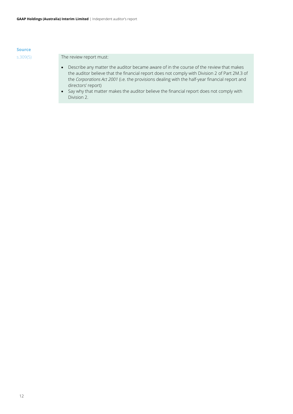s.309(5) The review report must:

- Describe any matter the auditor became aware of in the course of the review that makes the auditor believe that the financial report does not comply with Division 2 of Part 2M.3 of the *Corporations Act 2001* (i.e. the provisions dealing with the half-year financial report and directors' report)
- Say why that matter makes the auditor believe the financial report does not comply with Division 2.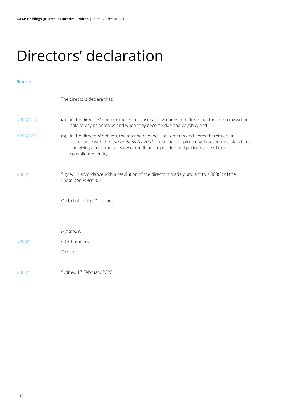# <span id="page-13-0"></span>Directors' declaration

# **Source**

The directors declare that:

| S.303(4)(c) | in the directors' opinion, there are reasonable grounds to believe that the company will be<br>able to pay its debts as and when they become due and payable; and                                                                                                                                     |  |  |  |  |
|-------------|-------------------------------------------------------------------------------------------------------------------------------------------------------------------------------------------------------------------------------------------------------------------------------------------------------|--|--|--|--|
| S.303(4)(d) | in the directors' opinion, the attached financial statements and notes thereto are in<br>(b)<br>accordance with the Corporations Act 2001, including compliance with accounting standards<br>and giving a true and fair view of the financial position and performance of the<br>consolidated entity. |  |  |  |  |
| 5.303(5)    | Signed in accordance with a resolution of the directors made pursuant to s.303(5) of the<br>Corporations Act 2001.                                                                                                                                                                                    |  |  |  |  |
|             | On behalf of the Directors                                                                                                                                                                                                                                                                            |  |  |  |  |
|             |                                                                                                                                                                                                                                                                                                       |  |  |  |  |
|             | (Signature)                                                                                                                                                                                                                                                                                           |  |  |  |  |
| 5.303(5)    | C.J. Chambers                                                                                                                                                                                                                                                                                         |  |  |  |  |

s.303(5) Sydney, 17 February 2020

Director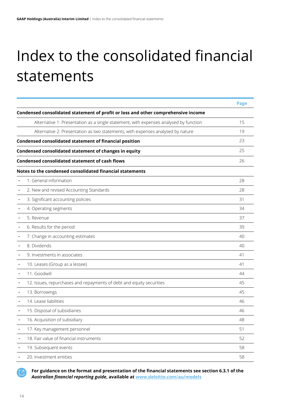# <span id="page-14-0"></span>Index to the consolidated financial statements

|                                                                                       | <b>Page</b> |
|---------------------------------------------------------------------------------------|-------------|
| Condensed consolidated statement of profit or loss and other comprehensive income     |             |
| Alternative 1: Presentation as a single statement, with expenses analysed by function | 15          |
| Alternative 2: Presentation as two statements, with expenses analysed by nature       | 19          |
| Condensed consolidated statement of financial position                                | 23          |
| Condensed consolidated statement of changes in equity                                 | 25          |
| <b>Condensed consolidated statement of cash flows</b>                                 | 26          |
| Notes to the condensed consolidated financial statements                              |             |
| 1. General information                                                                | 28          |
| 2. New and revised Accounting Standards                                               | 28          |
| 3. Significant accounting policies                                                    | 31          |
| 4. Operating segments                                                                 | 34          |
| 5. Revenue                                                                            | 37          |
| 6. Results for the period                                                             | 39          |
| 7. Change in accounting estimates                                                     | 40          |
| 8. Dividends                                                                          | 40          |
| 9. Investments in associates                                                          | 41          |
| 10. Leases (Group as a lessee)                                                        | 41          |
| 11. Goodwill                                                                          | 44          |
| 12. Issues, repurchases and repayments of debt and equity securities                  | 45          |
| 13. Borrowings                                                                        | 45          |
| 14. Lease liabilities                                                                 | 46          |
| 15. Disposal of subsidiaries                                                          | 46          |
| 16. Acquisition of subsidiary                                                         | 48          |
| 17. Key management personnel                                                          | 51          |
| 18. Fair value of financial instruments                                               | 52          |
| 19. Subsequent events                                                                 | 58          |
| 20. Investment entities                                                               | 58          |

**77** 

**For guidance on the format and presentation of the financial statements see section 6.3.1 of the**  *Australian financial reporting guide***, available a[t www.deloitte.com/au/models](https://www2.deloitte.com/au/en/pages/audit/articles/illustrative-financial-reports.html)**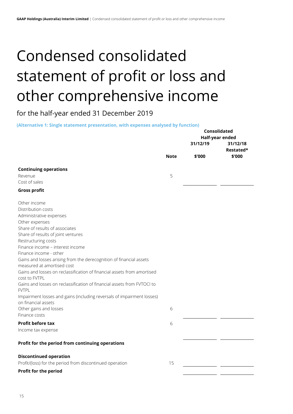# <span id="page-15-0"></span>Condensed consolidated statement of profit or loss and other comprehensive income

for the half-year ended 31 December 2019

**(Alternative 1: Single statement presentation, with expenses analysed by function)**

|                                                                                               |             | Consolidated                |                       |
|-----------------------------------------------------------------------------------------------|-------------|-----------------------------|-----------------------|
|                                                                                               |             | Half-year ended<br>31/12/19 | 31/12/18<br>Restated* |
|                                                                                               | <b>Note</b> | \$'000                      | \$'000                |
| <b>Continuing operations</b>                                                                  |             |                             |                       |
| Revenue                                                                                       | 5           |                             |                       |
| Cost of sales                                                                                 |             |                             |                       |
| <b>Gross profit</b>                                                                           |             |                             |                       |
| Other income                                                                                  |             |                             |                       |
| Distribution costs                                                                            |             |                             |                       |
| Administrative expenses                                                                       |             |                             |                       |
| Other expenses                                                                                |             |                             |                       |
| Share of results of associates                                                                |             |                             |                       |
| Share of results of joint ventures                                                            |             |                             |                       |
| Restructuring costs                                                                           |             |                             |                       |
| Finance income - interest income                                                              |             |                             |                       |
| Finance income - other                                                                        |             |                             |                       |
| Gains and losses arising from the derecognition of financial assets                           |             |                             |                       |
| measured at amortised cost                                                                    |             |                             |                       |
| Gains and losses on reclassification of financial assets from amortised<br>cost to FVTPL      |             |                             |                       |
| Gains and losses on reclassification of financial assets from FVTOCI to<br><b>FVTPL</b>       |             |                             |                       |
| Impairment losses and gains (including reversals of impairment losses)<br>on financial assets |             |                             |                       |
| Other gains and losses                                                                        | 6           |                             |                       |
| Finance costs                                                                                 |             |                             |                       |
| <b>Profit before tax</b>                                                                      | 6           |                             |                       |
| Income tax expense                                                                            |             |                             |                       |
| Profit for the period from continuing operations                                              |             |                             |                       |
| <b>Discontinued operation</b>                                                                 |             |                             |                       |
| Profit/(loss) for the period from discontinued operation                                      | 15          |                             |                       |
| Profit for the period                                                                         |             |                             |                       |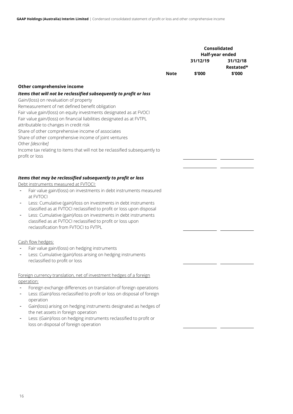|                                                                                                                                                                                                                                                                                                                                                                                                                                                                                                                                                                                                                            |             | Consolidated<br>Half-year ended |                                 |
|----------------------------------------------------------------------------------------------------------------------------------------------------------------------------------------------------------------------------------------------------------------------------------------------------------------------------------------------------------------------------------------------------------------------------------------------------------------------------------------------------------------------------------------------------------------------------------------------------------------------------|-------------|---------------------------------|---------------------------------|
|                                                                                                                                                                                                                                                                                                                                                                                                                                                                                                                                                                                                                            | <b>Note</b> | 31/12/19<br>\$'000              | 31/12/18<br>Restated*<br>\$'000 |
|                                                                                                                                                                                                                                                                                                                                                                                                                                                                                                                                                                                                                            |             |                                 |                                 |
| Other comprehensive income<br>Items that will not be reclassified subsequently to profit or loss<br>Gain/(loss) on revaluation of property<br>Remeasurement of net defined benefit obligation<br>Fair value gain/(loss) on equity investments designated as at FVOCI<br>Fair value gain/(loss) on financial liabilities designated as at FVTPL<br>attributable to changes in credit risk<br>Share of other comprehensive income of associates<br>Share of other comprehensive income of joint ventures<br>Other [describe]<br>Income tax relating to items that will not be reclassified subsequently to<br>profit or loss |             |                                 |                                 |
| Items that may be reclassified subsequently to profit or loss<br>Debt instruments measured at FVTOCI:<br>Fair value gain/(loss) on investments in debt instruments measured<br>at FVTOCI<br>Less: Cumulative (gain)/loss on investments in debt instruments<br>classified as at FVTOCI reclassified to profit or loss upon disposal<br>Less: Cumulative (gain)/loss on investments in debt instruments<br>classified as at FVTOCI reclassified to profit or loss upon<br>reclassification from FVTOCI to FVTPL                                                                                                             |             |                                 |                                 |
| Cash flow hedges:<br>Fair value gain/(loss) on hedging instruments<br>Less: Cumulative (gain)/loss arising on hedging instruments<br>reclassified to profit or loss                                                                                                                                                                                                                                                                                                                                                                                                                                                        |             |                                 |                                 |
| Foreign currency translation, net of investment hedges of a foreign<br>operation:<br>Foreign exchange differences on translation of foreign operations<br>Less: (Gain)/loss reclassified to profit or loss on disposal of foreign<br>operation<br>Gain(loss) arising on hedging instruments designated as hedges of<br>the net assets in foreign operation<br>Less: (Gain)/loss on hedging instruments reclassified to profit or<br>loss on disposal of foreign operation                                                                                                                                                  |             |                                 |                                 |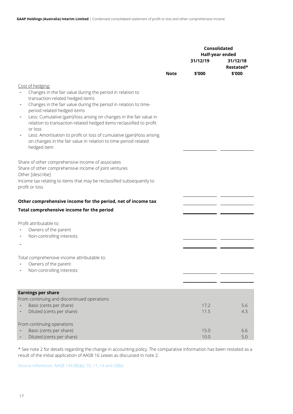|                                                                                                                                                          |             | <b>Consolidated</b> | Half-year ended       |  |
|----------------------------------------------------------------------------------------------------------------------------------------------------------|-------------|---------------------|-----------------------|--|
|                                                                                                                                                          |             | 31/12/19            | 31/12/18<br>Restated* |  |
|                                                                                                                                                          | <b>Note</b> | \$'000              | \$'000                |  |
| Cost of hedging:                                                                                                                                         |             |                     |                       |  |
| Changes in the fair value during the period in relation to<br>transaction-related hedged items                                                           |             |                     |                       |  |
| Changes in the fair value during the period in relation to time-<br>$\overline{\phantom{a}}$                                                             |             |                     |                       |  |
| period related hedged items<br>Less: Cumulative (gain)/loss arising on changes in the fair value in<br>$\overline{\phantom{a}}$                          |             |                     |                       |  |
| relation to transaction-related hedged items reclassified to profit<br>or loss                                                                           |             |                     |                       |  |
| Less: Amortisation to profit or loss of cumulative (gain)/loss arising<br>on changes in the fair value in relation to time-period related<br>hedged item |             |                     |                       |  |
| Share of other comprehensive income of associates                                                                                                        |             |                     |                       |  |
| Share of other comprehensive income of joint ventures                                                                                                    |             |                     |                       |  |
| Other [describe]<br>Income tax relating to items that may be reclassified subsequently to                                                                |             |                     |                       |  |
| profit or loss                                                                                                                                           |             |                     |                       |  |
| Other comprehensive income for the period, net of income tax                                                                                             |             |                     |                       |  |
| Total comprehensive income for the period                                                                                                                |             |                     |                       |  |
| Profit attributable to:                                                                                                                                  |             |                     |                       |  |
| Owners of the parent<br>Non-controlling interests                                                                                                        |             |                     |                       |  |
|                                                                                                                                                          |             |                     |                       |  |
| Total comprehensive income attributable to:                                                                                                              |             |                     |                       |  |
| Owners of the parent                                                                                                                                     |             |                     |                       |  |
| Non-controlling interests                                                                                                                                |             |                     |                       |  |
| <b>Earnings per share</b>                                                                                                                                |             |                     |                       |  |
| From continuing and discontinued operations                                                                                                              |             |                     |                       |  |
| Basic (cents per share)                                                                                                                                  |             | 17.2<br>11.5        | 5.6<br>4.3            |  |
| Diluted (cents per share)                                                                                                                                |             |                     |                       |  |
| From continuing operations                                                                                                                               |             |                     |                       |  |
| Basic (cents per share)<br>Diluted (cents per share)                                                                                                     |             | 15.0<br>10.0        | 6.6<br>5.0            |  |

\* See note 2 for details regarding the change in accounting policy. The comparative information has been restated as a result of the initial application of AASB 16 *Leases* as discussed in note 2.

Source references: AASB 134.8(b)(i), 10, 11, 14 and 20(b)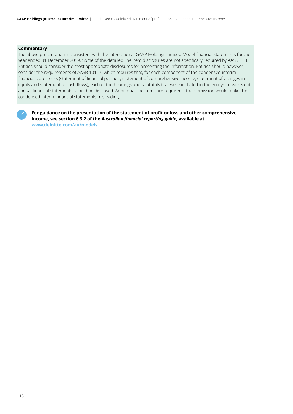# **Commentary**

The above presentation is consistent with the International GAAP Holdings Limited Model financial statements for the year ended 31 December 2019. Some of the detailed line item disclosures are not specifically required by AASB 134. Entities should consider the most appropriate disclosures for presenting the information. Entities should however, consider the requirements of AASB 101.10 which requires that, for each component of the condensed interim financial statements (statement of financial position, statement of comprehensive income, statement of changes in equity and statement of cash flows), each of the headings and subtotals that were included in the entity's most recent annual financial statements should be disclosed. Additional line items are required if their omission would make the condensed interim financial statements misleading.



**For guidance on the presentation of the statement of profit or loss and other comprehensive income, see section 6.3.2 of the** *Australian financial reporting guide***, available at [www.deloitte.com/au/models](https://www2.deloitte.com/au/en/pages/audit/articles/illustrative-financial-reports.html)**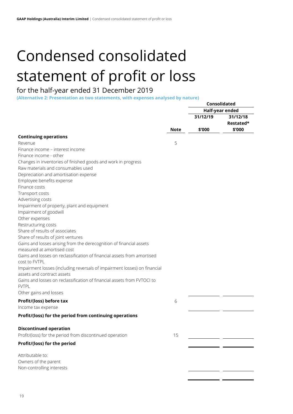# <span id="page-19-0"></span>Condensed consolidated statement of profit or loss

# for the half-year ended 31 December 2019

**(Alternative 2: Presentation as two statements, with expenses analysed by nature)**

|                                                                           |             |          | Consolidated    |
|---------------------------------------------------------------------------|-------------|----------|-----------------|
|                                                                           |             |          | Half-year ended |
|                                                                           |             | 31/12/19 | 31/12/18        |
|                                                                           |             |          | Restated*       |
|                                                                           | <b>Note</b> | \$'000   | \$'000          |
| <b>Continuing operations</b>                                              |             |          |                 |
| Revenue                                                                   | 5           |          |                 |
| Finance income – interest income                                          |             |          |                 |
| Finance income - other                                                    |             |          |                 |
| Changes in inventories of finished goods and work in progress             |             |          |                 |
| Raw materials and consumables used                                        |             |          |                 |
| Depreciation and amortisation expense                                     |             |          |                 |
| Employee benefits expense                                                 |             |          |                 |
| Finance costs                                                             |             |          |                 |
| Transport costs                                                           |             |          |                 |
| Advertising costs                                                         |             |          |                 |
| Impairment of property, plant and equipment                               |             |          |                 |
| Impairment of goodwill                                                    |             |          |                 |
| Other expenses                                                            |             |          |                 |
| Restructuring costs                                                       |             |          |                 |
| Share of results of associates                                            |             |          |                 |
| Share of results of joint ventures                                        |             |          |                 |
| Gains and losses arising from the derecognition of financial assets       |             |          |                 |
| measured at amortised cost                                                |             |          |                 |
| Gains and losses on reclassification of financial assets from amortised   |             |          |                 |
| cost to FVTPL                                                             |             |          |                 |
| Impairment losses (including reversals of impairment losses) on financial |             |          |                 |
| assets and contract assets                                                |             |          |                 |
| Gains and losses on reclassification of financial assets from FVTOCI to   |             |          |                 |
| <b>FVTPL</b>                                                              |             |          |                 |
| Other gains and losses                                                    |             |          |                 |
| Profit/(loss) before tax                                                  | 6           |          |                 |
| Income tax expense                                                        |             |          |                 |
| Profit/(loss) for the period from continuing operations                   |             |          |                 |
| <b>Discontinued operation</b>                                             |             |          |                 |
| Profit/(loss) for the period from discontinued operation                  | 15          |          |                 |
| Profit/(loss) for the period                                              |             |          |                 |
|                                                                           |             |          |                 |
| Attributable to:                                                          |             |          |                 |
| Owners of the parent                                                      |             |          |                 |
| Non-controlling interests                                                 |             |          |                 |
|                                                                           |             |          |                 |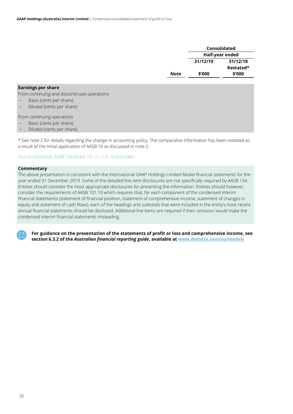|             | Consolidated |                 |  |
|-------------|--------------|-----------------|--|
|             |              | Half-year ended |  |
|             | 31/12/19     | 31/12/18        |  |
|             |              | Restated*       |  |
| <b>Note</b> | \$'000       | \$'000          |  |
|             |              |                 |  |

# **Earnings per share**

From continuing and discontinued operations

- Basic (cents per share)
- Diluted (cents per share)

From continuing operations

- Basic (cents per share)
- Diluted (cents per share)

\* See note 2 for details regarding the change in accounting policy. The comparative information has been restated as a result of the initial application of AASB 16 as discussed in note 2.

Source references: AASB 134.8(b)(ii), 10, 11, 11A, 14 and 20(b)

# **Commentary**

The above presentation is consistent with the International GAAP Holdings Limited Model financial statements for the year ended 31 December 2019. Some of the detailed line item disclosures are not specifically required by AASB 134. Entities should consider the most appropriate disclosures for presenting the information. Entities should however, consider the requirements of AASB 101.10 which requires that, for each component of the condensed interim financial statements (statement of financial position, statement of comprehensive income, statement of changes in equity and statement of cash flows), each of the headings and subtotals that were included in the entity's most recent annual financial statements should be disclosed. Additional line items are required if their omission would make the condensed interim financial statements misleading.



**For guidance on the presentation of the statements of profit or loss and comprehensive income, see section 6.3.2 of the** *Australian financial reporting guide***, available at [www.deloitte.com/au/models](https://www2.deloitte.com/au/en/pages/audit/articles/illustrative-financial-reports.html)**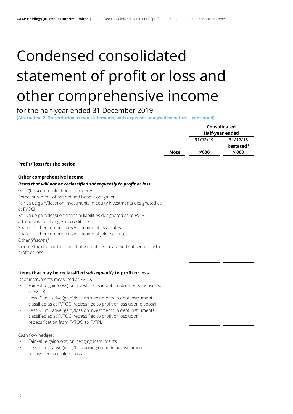# Condensed consolidated statement of profit or loss and other comprehensive income

# for the half-year ended 31 December 2019

**(Alternative 2: Presentation as two statements, with expenses analysed by nature – continued)**

|                                                                                       |             |          | Consolidated    |
|---------------------------------------------------------------------------------------|-------------|----------|-----------------|
|                                                                                       |             |          | Half-year ended |
|                                                                                       |             | 31/12/19 | 31/12/18        |
|                                                                                       |             |          | Restated*       |
|                                                                                       | <b>Note</b> | \$'000   | \$'000          |
| Profit/(loss) for the period                                                          |             |          |                 |
|                                                                                       |             |          |                 |
| Other comprehensive income                                                            |             |          |                 |
| Items that will not be reclassified subsequently to profit or loss                    |             |          |                 |
| Gain/(loss) on revaluation of property                                                |             |          |                 |
| Remeasurement of net defined benefit obligation                                       |             |          |                 |
| Fair value gain/(loss) on investments in equity investments designated as<br>at FVOCI |             |          |                 |
| Fair value gain/(loss) on financial liabilities designated as at FVTPL                |             |          |                 |
| attributable to changes in credit risk                                                |             |          |                 |
| Share of other comprehensive income of associates                                     |             |          |                 |
| Share of other comprehensive income of joint ventures                                 |             |          |                 |
| Other [describe]                                                                      |             |          |                 |
| Income tax relating to items that will not be reclassified subsequently to            |             |          |                 |
| profit or loss                                                                        |             |          |                 |
|                                                                                       |             |          |                 |
| Items that may be reclassified subsequently to profit or loss                         |             |          |                 |
| Debt instruments measured at FVTOCI:                                                  |             |          |                 |
| Fair value gain/(loss) on investments in debt instruments measured<br>at FVTOCI       |             |          |                 |
| Less: Cumulative (gain)/loss on investments in debt instruments                       |             |          |                 |
| classified as at FVTOCI reclassified to profit or loss upon disposal                  |             |          |                 |
| Less: Cumulative (gain)/loss on investments in debt instruments                       |             |          |                 |
| classified as at FVTOCI reclassified to profit or loss upon                           |             |          |                 |
| reclassification from FVTOCI to FVTPL                                                 |             |          |                 |
| Cash flow hedges:                                                                     |             |          |                 |
| Fair value gain/(loss) on hedging instruments                                         |             |          |                 |
| Less: Cumulative (gain)/loss arising on hedging instruments                           |             |          |                 |
| reclassified to profit or loss                                                        |             |          |                 |
|                                                                                       |             |          |                 |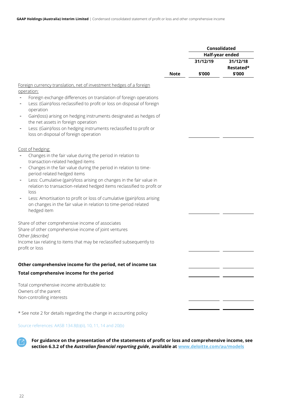|                                                                                                                                                                                                                                                |             |          | Consolidated          |
|------------------------------------------------------------------------------------------------------------------------------------------------------------------------------------------------------------------------------------------------|-------------|----------|-----------------------|
|                                                                                                                                                                                                                                                |             |          | Half-year ended       |
|                                                                                                                                                                                                                                                |             | 31/12/19 | 31/12/18<br>Restated* |
|                                                                                                                                                                                                                                                | <b>Note</b> | \$'000   | \$'000                |
| Foreign currency translation, net of investment hedges of a foreign<br>operation:<br>Foreign exchange differences on translation of foreign operations<br>Less: (Gain)/loss reclassified to profit or loss on disposal of foreign<br>operation |             |          |                       |
| Gain(loss) arising on hedging instruments designated as hedges of<br>the net assets in foreign operation<br>Less: (Gain)/loss on hedging instruments reclassified to profit or<br>loss on disposal of foreign operation                        |             |          |                       |
| Cost of hedging:<br>Changes in the fair value during the period in relation to                                                                                                                                                                 |             |          |                       |
| transaction-related hedged items<br>Changes in the fair value during the period in relation to time-<br>period related hedged items                                                                                                            |             |          |                       |
| Less: Cumulative (gain)/loss arising on changes in the fair value in<br>relation to transaction-related hedged items reclassified to profit or<br>loss                                                                                         |             |          |                       |
| Less: Amortisation to profit or loss of cumulative (gain)/loss arising<br>on changes in the fair value in relation to time-period related<br>hedged item                                                                                       |             |          |                       |
| Share of other comprehensive income of associates<br>Share of other comprehensive income of joint ventures<br>Other [describe]                                                                                                                 |             |          |                       |
| Income tax relating to items that may be reclassified subsequently to<br>profit or loss                                                                                                                                                        |             |          |                       |
| Other comprehensive income for the period, net of income tax                                                                                                                                                                                   |             |          |                       |
| Total comprehensive income for the period                                                                                                                                                                                                      |             |          |                       |
| Total comprehensive income attributable to:<br>Owners of the parent                                                                                                                                                                            |             |          |                       |
| Non-controlling interests                                                                                                                                                                                                                      |             |          |                       |
| * See note 2 for details regarding the change in accounting policy                                                                                                                                                                             |             |          |                       |

# Source references: AASB 134.8(b)(ii), 10, 11, 14 and 20(b)



**For guidance on the presentation of the statements of profit or loss and comprehensive income, see section 6.3.2 of the** *Australian financial reporting guide***, available at [www.deloitte.com/au/models](https://www2.deloitte.com/au/en/pages/audit/articles/illustrative-financial-reports.html)**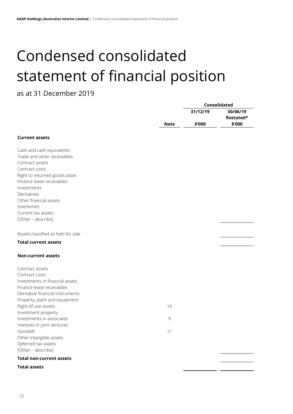# <span id="page-23-0"></span>Condensed consolidated statement of financial position

# as at 31 December 2019

|                                                |             | Consolidated |           |
|------------------------------------------------|-------------|--------------|-----------|
|                                                |             | 31/12/19     | 30/06/19  |
|                                                |             |              | Restated* |
|                                                | <b>Note</b> | \$'000       | \$'000    |
| <b>Current assets</b>                          |             |              |           |
|                                                |             |              |           |
| Cash and cash equivalents                      |             |              |           |
| Trade and other receivables                    |             |              |           |
| Contract assets                                |             |              |           |
| Contract costs                                 |             |              |           |
| Right to returned goods asset                  |             |              |           |
| Finance lease receivables                      |             |              |           |
| Investments                                    |             |              |           |
| Derivatives                                    |             |              |           |
| Other financial assets                         |             |              |           |
| Inventories                                    |             |              |           |
| Current tax assets                             |             |              |           |
| [Other - describe]                             |             |              |           |
| Assets classified as held for sale             |             |              |           |
| <b>Total current assets</b>                    |             |              |           |
| <b>Non-current assets</b>                      |             |              |           |
|                                                |             |              |           |
| Contract assets                                |             |              |           |
| Contract costs                                 |             |              |           |
| Investments in financial assets                |             |              |           |
| Finance lease receivables                      |             |              |           |
| Derivative financial instruments               |             |              |           |
| Property, plant and equipment                  |             |              |           |
| Right-of-use assets                            | 10          |              |           |
| Investment property                            |             |              |           |
| Investments in associates                      | 9           |              |           |
| Interests in joint ventures<br>Goodwill        |             |              |           |
|                                                | 11          |              |           |
| Other intangible assets<br>Deferred tax assets |             |              |           |
| [Other - describe]                             |             |              |           |
| <b>Total non-current assets</b>                |             |              |           |
| <b>Total assets</b>                            |             |              |           |
|                                                |             |              |           |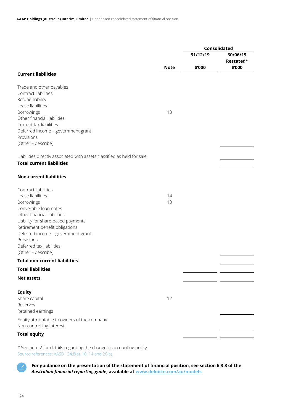|                                                                         |             | Consolidated |                     |
|-------------------------------------------------------------------------|-------------|--------------|---------------------|
|                                                                         |             | 31/12/19     | 30/06/19            |
|                                                                         | <b>Note</b> | \$'000       | Restated*<br>\$'000 |
| <b>Current liabilities</b>                                              |             |              |                     |
|                                                                         |             |              |                     |
| Trade and other payables                                                |             |              |                     |
| Contract liabilities                                                    |             |              |                     |
| Refund liability<br>Lease liabilities                                   |             |              |                     |
| <b>Borrowings</b>                                                       | 13          |              |                     |
| Other financial liabilities                                             |             |              |                     |
| Current tax liabilities                                                 |             |              |                     |
| Deferred income - government grant                                      |             |              |                     |
| Provisions                                                              |             |              |                     |
| [Other - describe]                                                      |             |              |                     |
| Liabilities directly associated with assets classified as held for sale |             |              |                     |
| <b>Total current liabilities</b>                                        |             |              |                     |
| <b>Non-current liabilities</b>                                          |             |              |                     |
|                                                                         |             |              |                     |
| Contract liabilities<br>Lease liabilities                               | 14          |              |                     |
| <b>Borrowings</b>                                                       | 13          |              |                     |
| Convertible loan notes                                                  |             |              |                     |
| Other financial liabilities                                             |             |              |                     |
| Liability for share-based payments                                      |             |              |                     |
| Retirement benefit obligations                                          |             |              |                     |
| Deferred income - government grant                                      |             |              |                     |
| Provisions                                                              |             |              |                     |
| Deferred tax liabilities<br>[Other - describe]                          |             |              |                     |
| <b>Total non-current liabilities</b>                                    |             |              |                     |
| <b>Total liabilities</b>                                                |             |              |                     |
| <b>Net assets</b>                                                       |             |              |                     |
|                                                                         |             |              |                     |
| <b>Equity</b>                                                           |             |              |                     |
| Share capital                                                           | 12          |              |                     |
| Reserves                                                                |             |              |                     |
| Retained earnings                                                       |             |              |                     |
| Equity attributable to owners of the company                            |             |              |                     |
| Non-controlling interest                                                |             |              |                     |
| <b>Total equity</b>                                                     |             |              |                     |
|                                                                         |             |              |                     |

\* See note 2 for details regarding the change in accounting policy Source references: AASB 134.8(a), 10, 14 and 20(a)



**For guidance on the presentation of the statement of financial position, see section 6.3.3 of the**  *Australian financial reporting guide***, available a[t www.deloitte.com/au/models](https://www2.deloitte.com/au/en/pages/audit/articles/illustrative-financial-reports.html)**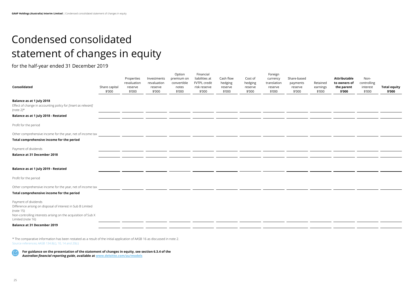$\overline{\phantom{a}}$ 

# <span id="page-25-0"></span>Condensed consolidated statement of changes in equity

for the half-year ended 31 December 2019

| Retained<br>earnings<br>\$'000 | <b>Attributable</b><br>to owners of<br>the parent<br>\$'000 | Non-<br>controlling<br>interest<br>\$'000 | <b>Total equity</b><br>\$'000 |
|--------------------------------|-------------------------------------------------------------|-------------------------------------------|-------------------------------|
|                                |                                                             |                                           |                               |
|                                |                                                             |                                           |                               |
|                                |                                                             |                                           |                               |
|                                |                                                             |                                           |                               |
|                                |                                                             |                                           |                               |
|                                |                                                             |                                           |                               |
|                                |                                                             |                                           |                               |

| Consolidated                                                                                                                                                                           | Share capital<br>\$'000 | Properties<br>revaluation<br>reserve<br>\$'000 | Investments<br>revaluation<br>reserve<br>\$'000 | Option<br>premium on<br>convertible<br>notes<br>\$'000 | Financial<br>liabilities at<br>FVTPL credit<br>risk reserve<br>\$'000 | Cash flow<br>hedging<br>reserve<br>\$'000 | Cost of<br>hedging<br>reserve<br>\$'000 | Foreign<br>currency<br>translation<br>reserve<br>\$'000 | Share-based<br>payments<br>reserve<br>\$'000 | Retained<br>earnings<br>\$'000 | <b>Attributable</b><br>to owners of<br>the parent<br>\$'000 | Non-<br>controlling<br>interest<br>\$'000 | <b>Total equ</b><br>\$'000 |
|----------------------------------------------------------------------------------------------------------------------------------------------------------------------------------------|-------------------------|------------------------------------------------|-------------------------------------------------|--------------------------------------------------------|-----------------------------------------------------------------------|-------------------------------------------|-----------------------------------------|---------------------------------------------------------|----------------------------------------------|--------------------------------|-------------------------------------------------------------|-------------------------------------------|----------------------------|
| <b>Balance as at 1 July 2018</b><br>Effect of change in accounting policy for [insert as relevant]<br>(note $2)^*$                                                                     |                         |                                                |                                                 |                                                        |                                                                       |                                           |                                         |                                                         |                                              |                                |                                                             |                                           |                            |
| Balance as at 1 July 2018 - Restated                                                                                                                                                   |                         |                                                |                                                 |                                                        |                                                                       |                                           |                                         |                                                         |                                              |                                |                                                             |                                           |                            |
| Profit for the period                                                                                                                                                                  |                         |                                                |                                                 |                                                        |                                                                       |                                           |                                         |                                                         |                                              |                                |                                                             |                                           |                            |
| Other comprehensive income for the year, net of income tax                                                                                                                             |                         |                                                |                                                 |                                                        |                                                                       |                                           |                                         |                                                         |                                              |                                |                                                             |                                           |                            |
| Total comprehensive income for the period                                                                                                                                              |                         |                                                |                                                 |                                                        |                                                                       |                                           |                                         |                                                         |                                              |                                |                                                             |                                           |                            |
| Payment of dividends                                                                                                                                                                   |                         |                                                |                                                 |                                                        |                                                                       |                                           |                                         |                                                         |                                              |                                |                                                             |                                           |                            |
| <b>Balance at 31 December 2018</b>                                                                                                                                                     |                         |                                                |                                                 |                                                        |                                                                       |                                           |                                         |                                                         |                                              |                                |                                                             |                                           |                            |
| Balance as at 1 July 2019 - Restated                                                                                                                                                   |                         |                                                |                                                 |                                                        |                                                                       |                                           |                                         |                                                         |                                              |                                |                                                             |                                           |                            |
| Profit for the period                                                                                                                                                                  |                         |                                                |                                                 |                                                        |                                                                       |                                           |                                         |                                                         |                                              |                                |                                                             |                                           |                            |
| Other comprehensive income for the year, net of income tax                                                                                                                             |                         |                                                |                                                 |                                                        |                                                                       |                                           |                                         |                                                         |                                              |                                |                                                             |                                           |                            |
| Total comprehensive income for the period                                                                                                                                              |                         |                                                |                                                 |                                                        |                                                                       |                                           |                                         |                                                         |                                              |                                |                                                             |                                           |                            |
| Payment of dividends<br>Difference arising on disposal of interest in Sub B Limited<br>(note 15)<br>Non-controlling interests arising on the acquisition of Sub X<br>Limited (note 16) |                         |                                                |                                                 |                                                        |                                                                       |                                           |                                         |                                                         |                                              |                                |                                                             |                                           |                            |
| <b>Balance at 31 December 2019</b>                                                                                                                                                     |                         |                                                |                                                 |                                                        |                                                                       |                                           |                                         |                                                         |                                              |                                |                                                             |                                           |                            |
|                                                                                                                                                                                        |                         |                                                |                                                 |                                                        |                                                                       |                                           |                                         |                                                         |                                              |                                |                                                             |                                           |                            |

\* The comparative information has been restated as a result of the initial application of AASB 16 as discussed in note 2. Source references: AASB 134.8(c), 10, 14 and 20(c)

**For guidance on the presentation of the statement of changes in equity, see section 6.3.4 of the**  *Australian financial reporting guide***, available a[t www.deloitte.com/au/models](https://www2.deloitte.com/au/en/pages/audit/articles/illustrative-financial-reports.html)**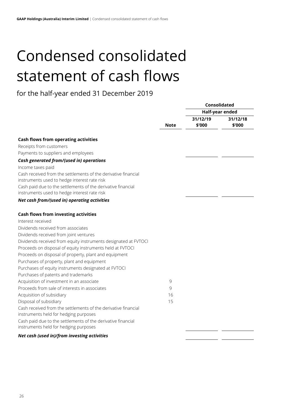# <span id="page-26-0"></span>Condensed consolidated statement of cash flows

# for the half-year ended 31 December 2019

|                                                                 |               | Consolidated    |          |  |
|-----------------------------------------------------------------|---------------|-----------------|----------|--|
|                                                                 |               | Half-year ended |          |  |
|                                                                 |               | 31/12/19        | 31/12/18 |  |
|                                                                 | <b>Note</b>   | \$'000          | \$'000   |  |
| <b>Cash flows from operating activities</b>                     |               |                 |          |  |
| Receipts from customers                                         |               |                 |          |  |
| Payments to suppliers and employees                             |               |                 |          |  |
| Cash generated from/(used in) operations                        |               |                 |          |  |
| Income taxes paid                                               |               |                 |          |  |
| Cash received from the settlements of the derivative financial  |               |                 |          |  |
| instruments used to hedge interest rate risk                    |               |                 |          |  |
| Cash paid due to the settlements of the derivative financial    |               |                 |          |  |
| instruments used to hedge interest rate risk                    |               |                 |          |  |
| Net cash from/(used in) operating activities                    |               |                 |          |  |
| <b>Cash flows from investing activities</b>                     |               |                 |          |  |
| Interest received                                               |               |                 |          |  |
| Dividends received from associates                              |               |                 |          |  |
| Dividends received from joint ventures                          |               |                 |          |  |
| Dividends received from equity instruments designated at FVTOCI |               |                 |          |  |
| Proceeds on disposal of equity instruments held at FVTOCI       |               |                 |          |  |
| Proceeds on disposal of property, plant and equipment           |               |                 |          |  |
| Purchases of property, plant and equipment                      |               |                 |          |  |
| Purchases of equity instruments designated at FVTOCI            |               |                 |          |  |
| Purchases of patents and trademarks                             |               |                 |          |  |
| Acquisition of investment in an associate                       | $\mathcal{G}$ |                 |          |  |
| Proceeds from sale of interests in associates                   | 9             |                 |          |  |
| Acquisition of subsidiary                                       | 16            |                 |          |  |
| Disposal of subsidiary                                          | 15            |                 |          |  |
| Cash received from the settlements of the derivative financial  |               |                 |          |  |
| instruments held for hedging purposes                           |               |                 |          |  |
| Cash paid due to the settlements of the derivative financial    |               |                 |          |  |
| instruments held for hedging purposes                           |               |                 |          |  |
| Net cash (used in)/from investing activities                    |               |                 |          |  |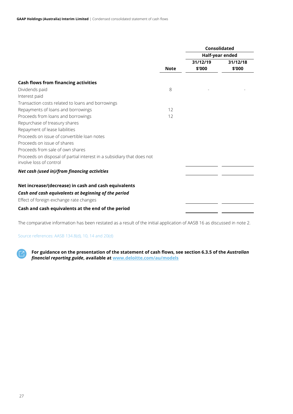|                                                                        |             | <b>Consolidated</b> |                 |  |
|------------------------------------------------------------------------|-------------|---------------------|-----------------|--|
|                                                                        |             |                     | Half-year ended |  |
|                                                                        |             | 31/12/19            | 31/12/18        |  |
|                                                                        | <b>Note</b> | \$'000              | \$'000          |  |
|                                                                        |             |                     |                 |  |
| <b>Cash flows from financing activities</b>                            |             |                     |                 |  |
| Dividends paid                                                         | 8           |                     |                 |  |
| Interest paid                                                          |             |                     |                 |  |
| Transaction costs related to loans and borrowings                      |             |                     |                 |  |
| Repayments of loans and borrowings                                     | 12          |                     |                 |  |
| Proceeds from loans and borrowings                                     | 12          |                     |                 |  |
| Repurchase of treasury shares                                          |             |                     |                 |  |
| Repayment of lease liabilities                                         |             |                     |                 |  |
| Proceeds on issue of convertible loan notes                            |             |                     |                 |  |
| Proceeds on issue of shares                                            |             |                     |                 |  |
| Proceeds from sale of own shares                                       |             |                     |                 |  |
| Proceeds on disposal of partial interest in a subsidiary that does not |             |                     |                 |  |
| involve loss of control                                                |             |                     |                 |  |
| Net cash (used in)/from financing activities                           |             |                     |                 |  |
| Net increase/(decrease) in cash and cash equivalents                   |             |                     |                 |  |
| Cash and cash equivalents at beginning of the period                   |             |                     |                 |  |
| Effect of foreign exchange rate changes                                |             |                     |                 |  |
| Cash and cash equivalents at the end of the period                     |             |                     |                 |  |

The comparative information has been restated as a result of the initial application of AASB 16 as discussed in note 2.

# Source references: AASB 134.8(d), 10, 14 and 20(d)

**For guidance on the presentation of the statement of cash flows, see section 6.3.5 of the** *Australian financial reporting guide***, available at [www.deloitte.com/au/models](https://www2.deloitte.com/au/en/pages/audit/articles/illustrative-financial-reports.html)**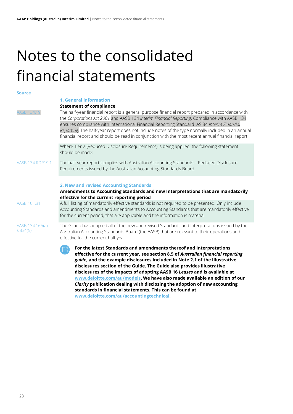# <span id="page-28-0"></span>Notes to the consolidated financial statements

# **Source**

# <span id="page-28-1"></span>**1. General information**

**Statement of compliance**

ASB 134.19 The half-year financial report is a general purpose financial report prepared in accordance with the *Corporations Act 2001* and AASB 134 *Interim Financial Reporting*. Compliance with AASB 134 ensures compliance with International Financial Reporting Standard IAS 34 *Interim Financial Reporting*. The half-year report does not include notes of the type normally included in an annual financial report and should be read in conjunction with the most recent annual financial report.

> Where Tier 2 (Reduced Disclosure Requirements) is being applied, the following statement should be made:

AASB 134.RDR19.1 The half-year report complies with Australian Accounting Standards – Reduced Disclosure Requirements issued by the Australian Accounting Standards Board.

# <span id="page-28-2"></span>**2. New and revised Accounting Standards**

**Amendments to Accounting Standards and new Interpretations that are mandatorily effective for the current reporting period**

AASB 101.31 A full listing of mandatorily effective standards is not required to be presented. Only include Accounting Standards and amendments to Accounting Standards that are mandatorily effective for the current period, that are applicable and the information is material.

AASB 134.16A(a), s.334(5)

The Group has adopted all of the new and revised Standards and Interpretations issued by the Australian Accounting Standards Board (the AASB) that are relevant to their operations and effective for the current half-year.

**For the latest Standards and amendments thereof and Interpretations effective for the current year, see section 8.5 of** *Australian financial reporting guide***, and the example disclosures included in Note 2.1 of the Illustrative disclosures section of the Guide. The Guide also provides illustrative disclosures of the impacts of adopting AASB 16** *Leases* **and is available at [www.deloitte.com/au/models.](https://www2.deloitte.com/au/en/pages/audit/articles/illustrative-financial-reports.html) We have also made available an edition of our**  *Clarity* **publication dealing with disclosing the adoption of new accounting standards in financial statements. This can be found at [www.deloitte.com/au/accountingtechnical](https://www2.deloitte.com/content/dam/Deloitte/au/Documents/audit/deloitte-au-audit-disclosing-adoption-new-accounting-standards-interim-financial-statements-040618.pdf)**.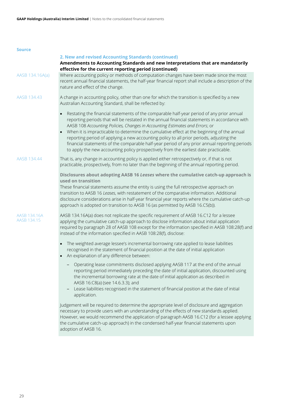| source                      |                                                                                                                                                                                                                                                                                                                                                                                                                                                                                                                                                                                                                                                               |
|-----------------------------|---------------------------------------------------------------------------------------------------------------------------------------------------------------------------------------------------------------------------------------------------------------------------------------------------------------------------------------------------------------------------------------------------------------------------------------------------------------------------------------------------------------------------------------------------------------------------------------------------------------------------------------------------------------|
|                             | 2. New and revised Accounting Standards (continued)<br>Amendments to Accounting Standards and new Interpretations that are mandatorily                                                                                                                                                                                                                                                                                                                                                                                                                                                                                                                        |
| AASB 134.16A(a)             | effective for the current reporting period (continued)<br>Where accounting policy or methods of computation changes have been made since the most<br>recent annual financial statements, the half-year financial report shall include a description of the<br>nature and effect of the change.                                                                                                                                                                                                                                                                                                                                                                |
| AASB 134.43                 | A change in accounting policy, other than one for which the transition is specified by a new<br>Australian Accounting Standard, shall be reflected by:                                                                                                                                                                                                                                                                                                                                                                                                                                                                                                        |
|                             | Restating the financial statements of the comparable half-year period of any prior annual<br>reporting periods that will be restated in the annual financial statements in accordance with<br>AASB 108 Accounting Policies, Changes in Accounting Estimates and Errors; or<br>When it is impracticable to determine the cumulative effect at the beginning of the annual<br>reporting period of applying a new accounting policy to all prior periods, adjusting the<br>financial statements of the comparable half-year period of any prior annual reporting periods<br>to apply the new accounting policy prospectively from the earliest date practicable. |
| AASB 134.44                 | That is, any change in accounting policy is applied either retrospectively or, if that is not<br>practicable, prospectively, from no later than the beginning of the annual reporting period.                                                                                                                                                                                                                                                                                                                                                                                                                                                                 |
|                             | Disclosures about adopting AASB 16 Leases where the cumulative catch-up approach is<br>used on transition<br>These financial statements assume the entity is using the full retrospective approach on<br>transition to AASB 16 Leases, with restatement of the comparative information. Additional<br>disclosure considerations arise in half-year financial year reports where the cumulative catch-up<br>approach is adopted on transition to AASB 16 (as permitted by AASB 16.C5(b)).                                                                                                                                                                      |
| AASB 134.16A<br>AASB 134.15 | AASB 134.16A(a) does not replicate the specific requirement of AASB 16.C12 for a lessee<br>applying the cumulative catch-up approach to disclose information about initial application<br>required by paragraph 28 of AASB 108 except for the information specified in AASB 108:28(f) and<br>instead of the information specified in AASB 108:28(f), disclose:                                                                                                                                                                                                                                                                                                |
|                             | The weighted average lessee's incremental borrowing rate applied to lease liabilities<br>recognised in the statement of financial position at the date of initial application<br>An explanation of any difference between:                                                                                                                                                                                                                                                                                                                                                                                                                                    |
|                             | - Operating lease commitments disclosed applying AASB 117 at the end of the annual<br>reporting period immediately preceding the date of initial application, discounted using<br>the incremental borrowing rate at the date of initial application as described in<br>AASB 16:C8(a) (see 14.6.3.3); and<br>Lease liabilities recognised in the statement of financial position at the date of initial<br><sup>-</sup><br>application.                                                                                                                                                                                                                        |
|                             | Judgement will be required to determine the appropriate level of disclosure and aggregation<br>necessary to provide users with an understanding of the effects of new standards applied.<br>However, we would recommend the application of paragraph AASB 16.C12 (for a lessee applying<br>the cumulative catch-up approach) in the condensed half-year financial statements upon<br>adoption of AASB 16.                                                                                                                                                                                                                                                     |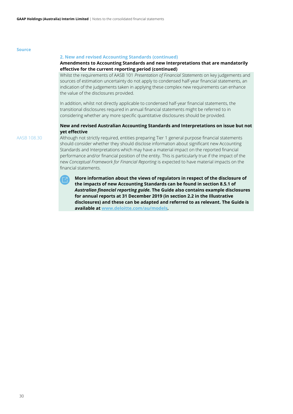# **2. New and revised Accounting Standards (continued)**

# **Amendments to Accounting Standards and new Interpretations that are mandatorily effective for the current reporting period (continued)**

Whilst the requirements of AASB 101 *Presentation of Financial Statements* on key judgements and sources of estimation uncertainty do not apply to condensed half-year financial statements, an indication of the judgements taken in applying these complex new requirements can enhance the value of the disclosures provided.

In addition, whilst not directly applicable to condensed half-year financial statements, the transitional disclosures required in annual financial statements might be referred to in considering whether any more specific quantitative disclosures should be provided.

# **New and revised Australian Accounting Standards and Interpretations on issue but not yet effective**

AASB 108.30 Although not strictly required, entities preparing Tier 1 general purpose financial statements should consider whether they should disclose information about significant new Accounting Standards and Interpretations which may have a material impact on the reported financial performance and/or financial position of the entity. This is particularly true if the impact of the new *Conceptual Framework for Financial Reporting* is expected to have material impacts on the financial statements.

> **More information about the views of regulators in respect of the disclosure of the impacts of new Accounting Standards can be found in section 8.5.1 of**  *Australian financial reporting guide.* **The Guide also contains example disclosures for annual reports at 31 December 2019 (in section 2.2 in the Illustrative disclosures) and these can be adapted and referred to as relevant. The Guide is available a[t www.deloitte.com/au/models](https://www2.deloitte.com/au/en/pages/audit/articles/illustrative-financial-reports.html)***.*

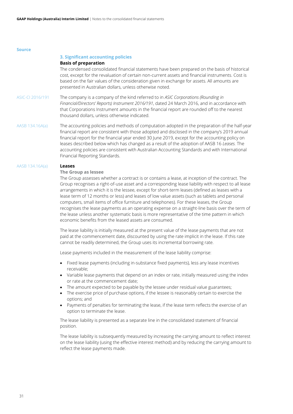# <span id="page-31-0"></span>**3. Significant accounting policies**

# **Basis of preparation**

The condensed consolidated financial statements have been prepared on the basis of historical cost, except for the revaluation of certain non-current assets and financial instruments. Cost is based on the fair values of the consideration given in exchange for assets. All amounts are presented in Australian dollars, unless otherwise noted.

ASIC-CI 2016/191 The company is a company of the kind referred to in *ASIC Corporations (Rounding in Financial/Directors' Reports) Instrument 2016/191*, dated 24 March 2016, and in accordance with that Corporations Instrument amounts in the financial report are rounded off to the nearest thousand dollars, unless otherwise indicated.

AASB 134.16A(a) The accounting policies and methods of computation adopted in the preparation of the half-year financial report are consistent with those adopted and disclosed in the company's 2019 annual financial report for the financial year ended 30 June 2019, except for the accounting policy on leases described below which has changed as a result of the adoption of AASB 16 *Leases.* The accounting policies are consistent with Australian Accounting Standards and with International Financial Reporting Standards.

# AASB 134.16A(a) **Leases**

# **The Group as lessee**

The Group assesses whether a contract is or contains a lease, at inception of the contract. The Group recognises a right-of-use asset and a corresponding lease liability with respect to all lease arrangements in which it is the lessee, except for short-term leases (defined as leases with a lease term of 12 months or less) and leases of low value assets (such as tablets and personal computers, small items of office furniture and telephones). For these leases, the Group recognises the lease payments as an operating expense on a straight-line basis over the term of the lease unless another systematic basis is more representative of the time pattern in which economic benefits from the leased assets are consumed.

The lease liability is initially measured at the present value of the lease payments that are not paid at the commencement date, discounted by using the rate implicit in the lease. If this rate cannot be readily determined, the Group uses its incremental borrowing rate.

Lease payments included in the measurement of the lease liability comprise:

- Fixed lease payments (including in-substance fixed payments), less any lease incentives receivable;
- Variable lease payments that depend on an index or rate, initially measured using the index or rate at the commencement date;
- The amount expected to be payable by the lessee under residual value guarantees;
- The exercise price of purchase options, if the lessee is reasonably certain to exercise the options; and
- Payments of penalties for terminating the lease, if the lease term reflects the exercise of an option to terminate the lease.

The lease liability is presented as a separate line in the consolidated statement of financial position.

The lease liability is subsequently measured by increasing the carrying amount to reflect interest on the lease liability (using the effective interest method) and by reducing the carrying amount to reflect the lease payments made.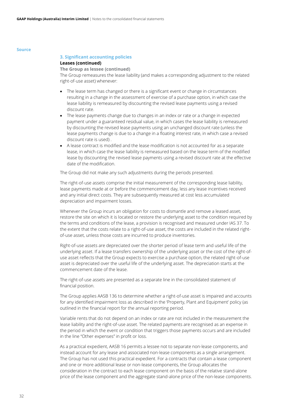# **3. Significant accounting policies**

# **Leases (continued)**

# **The Group as lessee (continued)**

The Group remeasures the lease liability (and makes a corresponding adjustment to the related right-of-use asset) whenever:

- The lease term has changed or there is a significant event or change in circumstances resulting in a change in the assessment of exercise of a purchase option, in which case the lease liability is remeasured by discounting the revised lease payments using a revised discount rate.
- The lease payments change due to changes in an index or rate or a change in expected payment under a guaranteed residual value, in which cases the lease liability is remeasured by discounting the revised lease payments using an unchanged discount rate (unless the lease payments change is due to a change in a floating interest rate, in which case a revised discount rate is used) .
- A lease contract is modified and the lease modification is not accounted for as a separate lease, in which case the lease liability is remeasured based on the lease term of the modified lease by discounting the revised lease payments using a revised discount rate at the effective date of the modification.

The Group did not make any such adjustments during the periods presented.

The right-of-use assets comprise the initial measurement of the corresponding lease liability, lease payments made at or before the commencement day, less any lease incentives received and any initial direct costs. They are subsequently measured at cost less accumulated depreciation and impairment losses.

Whenever the Group incurs an obligation for costs to dismantle and remove a leased asset, restore the site on which it is located or restore the underlying asset to the condition required by the terms and conditions of the lease, a provision is recognised and measured under IAS 37. To the extent that the costs relate to a right-of-use asset, the costs are included in the related rightof-use asset, unless those costs are incurred to produce inventories.

Right-of-use assets are depreciated over the shorter period of lease term and useful life of the underlying asset. If a lease transfers ownership of the underlying asset or the cost of the right-ofuse asset reflects that the Group expects to exercise a purchase option, the related right-of-use asset is depreciated over the useful life of the underlying asset. The depreciation starts at the commencement date of the lease.

The right-of-use assets are presented as a separate line in the consolidated statement of financial position.

The Group applies AASB 136 to determine whether a right-of-use asset is impaired and accounts for any identified impairment loss as described in the 'Property, Plant and Equipment' policy (as outlined in the financial report for the annual reporting period.

Variable rents that do not depend on an index or rate are not included in the measurement the lease liability and the right-of-use asset. The related payments are recognised as an expense in the period in which the event or condition that triggers those payments occurs and are included in the line "Other expenses" in profit or loss.

As a practical expedient, AASB 16 permits a lessee not to separate non-lease components, and instead account for any lease and associated non-lease components as a single arrangement. The Group has not used this practical expedient. For a contracts that contain a lease component and one or more additional lease or non-lease components, the Group allocates the consideration in the contract to each lease component on the basis of the relative stand-alone price of the lease component and the aggregate stand-alone price of the non-lease components.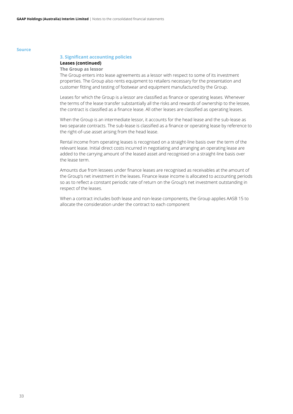# **3. Significant accounting policies**

# **Leases (continued)**

# **The Group as lessor**

The Group enters into lease agreements as a lessor with respect to some of its investment properties. The Group also rents equipment to retailers necessary for the presentation and customer fitting and testing of footwear and equipment manufactured by the Group.

Leases for which the Group is a lessor are classified as finance or operating leases. Whenever the terms of the lease transfer substantially all the risks and rewards of ownership to the lessee, the contract is classified as a finance lease. All other leases are classified as operating leases.

When the Group is an intermediate lessor, it accounts for the head lease and the sub-lease as two separate contracts. The sub-lease is classified as a finance or operating lease by reference to the right-of-use asset arising from the head lease.

Rental income from operating leases is recognised on a straight-line basis over the term of the relevant lease. Initial direct costs incurred in negotiating and arranging an operating lease are added to the carrying amount of the leased asset and recognised on a straight-line basis over the lease term.

Amounts due from lessees under finance leases are recognised as receivables at the amount of the Group's net investment in the leases. Finance lease income is allocated to accounting periods so as to reflect a constant periodic rate of return on the Group's net investment outstanding in respect of the leases.

When a contract includes both lease and non-lease components, the Group applies AASB 15 to allocate the consideration under the contract to each component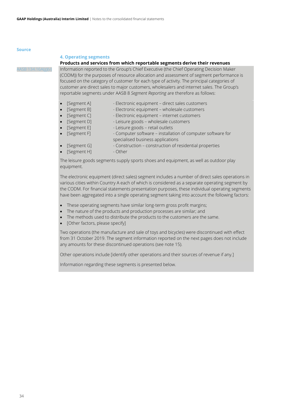# <span id="page-34-0"></span>**4. Operating segments**

# **Products and services from which reportable segments derive their revenues**

SB 134.16A(g)(v) Information reported to the Group's Chief Executive (the Chief Operating Decision Maker (CODM)) for the purposes of resource allocation and assessment of segment performance is focused on the category of customer for each type of activity. The principal categories of customer are direct sales to major customers, wholesalers and internet sales. The Group's reportable segments under AASB 8 *Segment Reporting* are therefore as follows:

- [Segment A] Electronic equipment direct sales customers
	- [Segment B] Electronic equipment wholesale customers
- [Segment C] Electronic equipment internet customers
- [Segment D] Leisure goods wholesale customers
- [Segment E] Leisure goods retail outlets
- [Segment F] Computer software installation of computer software for
- specialised business applications
- [Segment G] Construction construction of residential properties
- [Segment H] Other

The leisure goods segments supply sports shoes and equipment, as well as outdoor play equipment.

The electronic equipment (direct sales) segment includes a number of direct sales operations in various cities within Country A each of which is considered as a separate operating segment by the CODM. For financial statements presentation purposes, these individual operating segments have been aggregated into a single operating segment taking into account the following factors:

- These operating segments have similar long-term gross profit margins;
- The nature of the products and production processes are similar; and
- The methods used to distribute the products to the customers are the same.
- [Other factors, please specify]

Two operations (the manufacture and sale of toys and bicycles) were discontinued with effect from 31 October 2019. The segment information reported on the next pages does not include any amounts for these discontinued operations (see note 15).

Other operations include [identify other operations and their sources of revenue if any.]

Information regarding these segments is presented below.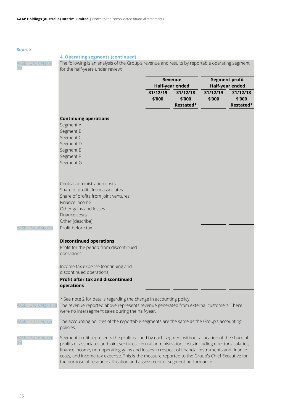# **4. Operating segments (continued)**

The following is an analysis of the Group's revenue and results by reportable operating segment for the half-years under review:

|                                                                                                       | Revenue<br>Half-year ended |           | <b>Segment profit</b><br>Half-year ended |           |  |
|-------------------------------------------------------------------------------------------------------|----------------------------|-----------|------------------------------------------|-----------|--|
|                                                                                                       |                            |           |                                          |           |  |
|                                                                                                       | 31/12/19<br>31/12/18       |           | 31/12/19                                 | 31/12/18  |  |
|                                                                                                       | \$'000                     | \$'000    | \$'000                                   | \$'000    |  |
|                                                                                                       |                            | Restated* |                                          | Restated* |  |
| <b>Continuing operations</b>                                                                          |                            |           |                                          |           |  |
| Segment A                                                                                             |                            |           |                                          |           |  |
| Segment B                                                                                             |                            |           |                                          |           |  |
| Segment C                                                                                             |                            |           |                                          |           |  |
| Segment D                                                                                             |                            |           |                                          |           |  |
| Segment E                                                                                             |                            |           |                                          |           |  |
| Segment F                                                                                             |                            |           |                                          |           |  |
| Segment G                                                                                             |                            |           |                                          |           |  |
|                                                                                                       |                            |           |                                          |           |  |
|                                                                                                       |                            |           |                                          |           |  |
| Central administration costs                                                                          |                            |           |                                          |           |  |
| Share of profits from associates                                                                      |                            |           |                                          |           |  |
| Share of profits from joint ventures                                                                  |                            |           |                                          |           |  |
| Finance income                                                                                        |                            |           |                                          |           |  |
| Other gains and losses<br>Finance costs                                                               |                            |           |                                          |           |  |
| Other [describe]                                                                                      |                            |           |                                          |           |  |
| Profit before tax                                                                                     |                            |           |                                          |           |  |
|                                                                                                       |                            |           |                                          |           |  |
| <b>Discontinued operations</b>                                                                        |                            |           |                                          |           |  |
| Profit for the period from discontinued                                                               |                            |           |                                          |           |  |
| operations                                                                                            |                            |           |                                          |           |  |
|                                                                                                       |                            |           |                                          |           |  |
| Income tax expense (continuing and                                                                    |                            |           |                                          |           |  |
| discontinued operations)                                                                              |                            |           |                                          |           |  |
| <b>Profit after tax and discontinued</b>                                                              |                            |           |                                          |           |  |
| operations                                                                                            |                            |           |                                          |           |  |
| * See note 2 for details regarding the change in accounting policy                                    |                            |           |                                          |           |  |
| The revenue reported above represents revenue generated from external customers. There                |                            |           |                                          |           |  |
| were no intersegment sales during the half-year.                                                      |                            |           |                                          |           |  |
|                                                                                                       |                            |           |                                          |           |  |
| The accounting policies of the reportable segments are the same as the Group's accounting             |                            |           |                                          |           |  |
| policies.                                                                                             |                            |           |                                          |           |  |
| Segment profit represents the profit earned by each segment without allocation of the share of        |                            |           |                                          |           |  |
| profits of associates and joint ventures, central administration costs including directors' salaries, |                            |           |                                          |           |  |
| finance income, non-operating gains and losses in respect of financial instruments and finance        |                            |           |                                          |           |  |
| costs, and income tax expense. This is the measure reported to the Group's Chief Executive for        |                            |           |                                          |           |  |

the purpose of resource allocation and assessment of segment performance.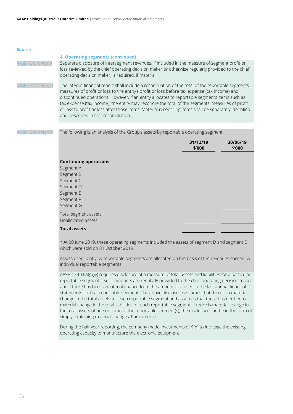|                     | 4. Operating segments (continued)                                                                                                                                                                                                                                                                                                                                                                                                                                                                                                                             |
|---------------------|---------------------------------------------------------------------------------------------------------------------------------------------------------------------------------------------------------------------------------------------------------------------------------------------------------------------------------------------------------------------------------------------------------------------------------------------------------------------------------------------------------------------------------------------------------------|
| AASB 134.16A(g)(ii) | Separate disclosure of intersegment revenues, if included in the measure of segment profit or<br>loss reviewed by the chief operating decision maker or otherwise regularly provided to the chief<br>operating decision maker, is required, if material.                                                                                                                                                                                                                                                                                                      |
| AASB 134.16A(g)(vi) | The interim financial report shall include a reconciliation of the total of the reportable segments'<br>measures of profit or loss to the entity's profit or loss before tax expense (tax income) and<br>discontinued operations. However, if an entity allocates to reportable segments items such as<br>tax expense (tax income), the entity may reconcile the total of the segments' measures of profit<br>or loss to profit or loss after those items. Material reconciling items shall be separately identified<br>and described in that reconciliation. |

The following is an analysis of the Group's assets by reportable operating segment:

|                                            | 31/12/19<br>\$'000 | 30/06/19<br>\$'000 |
|--------------------------------------------|--------------------|--------------------|
| <b>Continuing operations</b>               |                    |                    |
| Segment A                                  |                    |                    |
| Segment B                                  |                    |                    |
| Segment C                                  |                    |                    |
| Segment D                                  |                    |                    |
| Segment E                                  |                    |                    |
| Segment F                                  |                    |                    |
| Segment G                                  |                    |                    |
| Total segment assets<br>Unallocated assets |                    |                    |
| <b>Total assets</b>                        |                    |                    |

\* At 30 June 2019, these operating segments included the assets of segment D and segment E which were sold on 31 October 2019.

Assets used jointly by reportable segments are allocated on the basis of the revenues earned by individual reportable segments.

AASB 134.16A(g)(iv) requires disclosure of a measure of total assets and liabilities for a particular reportable segment if such amounts are regularly provided to the chief operating decision maker and if there has been a material change from the amount disclosed in the last annual financial statements for that reportable segment. The above disclosure assumes that there is a material change in the total assets for each reportable segment and assumes that there has not been a material change in the total liabilities for each reportable segment. If there is material change in the total assets of one or some of the reportable segment(s), the disclosure can be in the form of simply explaining material changes. For example:

During the half-year reporting, the company made investments of \$[x] to increase the existing operating capacity to manufacture the electronic equipment.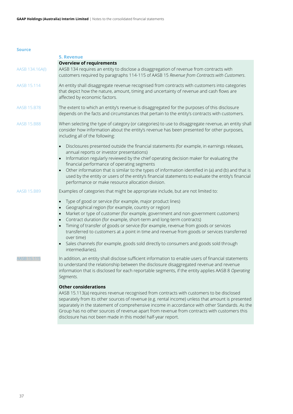<span id="page-37-0"></span>

|                    | <b>5. Revenue</b>                                                                                                                                                                                                                                                                                                                                                                                                                                                                                                                                                                                                       |
|--------------------|-------------------------------------------------------------------------------------------------------------------------------------------------------------------------------------------------------------------------------------------------------------------------------------------------------------------------------------------------------------------------------------------------------------------------------------------------------------------------------------------------------------------------------------------------------------------------------------------------------------------------|
| AASB 134.16A(I)    | <b>Overview of requirements</b><br>AASB 134 requires an entity to disclose a disaggregation of revenue from contracts with<br>customers required by paragraphs 114-115 of AASB 15 Revenue from Contracts with Customers.                                                                                                                                                                                                                                                                                                                                                                                                |
| AASB 15.114        | An entity shall disaggregate revenue recognised from contracts with customers into categories<br>that depict how the nature, amount, timing and uncertainty of revenue and cash flows are<br>affected by economic factors.                                                                                                                                                                                                                                                                                                                                                                                              |
| <b>AASB 15.B78</b> | The extent to which an entity's revenue is disaggregated for the purposes of this disclosure<br>depends on the facts and circumstances that pertain to the entity's contracts with customers.                                                                                                                                                                                                                                                                                                                                                                                                                           |
| <b>AASB 15.B88</b> | When selecting the type of category (or categories) to use to disaggregate revenue, an entity shall<br>consider how information about the entity's revenue has been presented for other purposes,<br>including all of the following:                                                                                                                                                                                                                                                                                                                                                                                    |
|                    | Disclosures presented outside the financial statements (for example, in earnings releases,<br>$\bullet$<br>annual reports or investor presentations)<br>Information regularly reviewed by the chief operating decision maker for evaluating the<br>financial performance of operating segments<br>Other information that is similar to the types of information identified in (a) and (b) and that is<br>used by the entity or users of the entity's financial statements to evaluate the entity's financial<br>performance or make resource allocation division.                                                       |
| <b>AASB 15.B89</b> | Examples of categories that might be appropriate include, but are not limited to:                                                                                                                                                                                                                                                                                                                                                                                                                                                                                                                                       |
|                    | Type of good or service (for example, major product lines)<br>Geographical region (for example, country or region)<br>Market or type of customer (for example, government and non-government customers)<br>Contract duration (for example, short-term and long-term contracts)<br>Timing of transfer of goods or service (for example, revenue from goods or services<br>$\bullet$<br>transferred to customers at a point in time and revenue from goods or services transferred<br>over time)<br>Sales channels (for example, goods sold directly to consumers and goods sold through<br>$\bullet$<br>intermediaries). |
| AASB 15.115        | In addition, an entity shall disclose sufficient information to enable users of financial statements<br>to understand the relationship between the disclosure disaggregated revenue and revenue<br>information that is disclosed for each reportable segments, if the entity applies AASB 8 Operating<br>Segments.                                                                                                                                                                                                                                                                                                      |
|                    | <b>Other considerations</b>                                                                                                                                                                                                                                                                                                                                                                                                                                                                                                                                                                                             |

AASB 15.113(a) requires revenue recognised from contracts with customers to be disclosed separately from its other sources of revenue (e.g. rental income) unless that amount is presented separately in the statement of comprehensive income in accordance with other Standards. As the Group has no other sources of revenue apart from revenue from contracts with customers this disclosure has not been made in this model half-year report.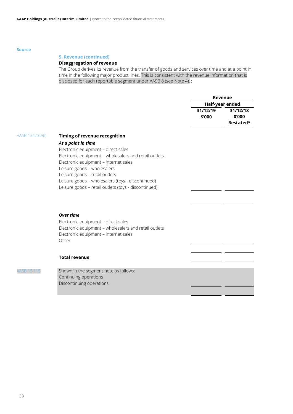# **5. Revenue (continued)**

# **Disaggregation of revenue**

The Group derives its revenue from the transfer of goods and services over time and at a point in time in the following major product lines. This is consistent with the revenue information that is disclosed for each reportable segment under AASB 8 (see Note 4). :

|                 |                                                                                                                                                                                                                                                                                                                                                                            | <b>Revenue</b>     |                                 |
|-----------------|----------------------------------------------------------------------------------------------------------------------------------------------------------------------------------------------------------------------------------------------------------------------------------------------------------------------------------------------------------------------------|--------------------|---------------------------------|
|                 |                                                                                                                                                                                                                                                                                                                                                                            | Half-year ended    |                                 |
|                 |                                                                                                                                                                                                                                                                                                                                                                            | 31/12/19<br>\$'000 | 31/12/18<br>\$'000<br>Restated* |
| AASB 134.16A(I) | Timing of revenue recognition<br>At a point in time<br>Electronic equipment - direct sales<br>Electronic equipment - wholesalers and retail outlets<br>Electronic equipment - internet sales<br>Leisure goods - wholesalers<br>Leisure goods - retail outlets<br>Leisure goods - wholesalers (toys - discontinued)<br>Leisure goods - retail outlets (toys - discontinued) |                    |                                 |
|                 | <b>Over time</b><br>Electronic equipment - direct sales<br>Electronic equipment - wholesalers and retail outlets<br>Electronic equipment - internet sales<br>Other                                                                                                                                                                                                         |                    |                                 |
|                 | <b>Total revenue</b>                                                                                                                                                                                                                                                                                                                                                       |                    |                                 |
| AASB 15.11!     | Shown in the segment note as follows:<br>Continuing operations<br>Discontinuing operations                                                                                                                                                                                                                                                                                 |                    |                                 |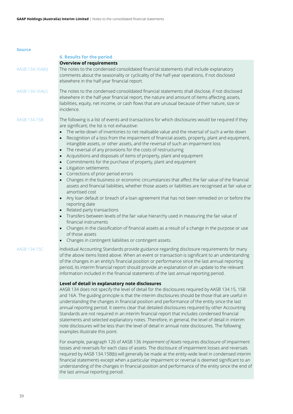<span id="page-39-0"></span>

|                 | <b>6. Results for the period</b>                                                                                                                                                                                                                                                                                                                                                                                                                                                                                                                                                                                                                                                                                                                                                                                                                                                                                                                                                                                                                                                                                                                                                                                                                                                                                                                                                                                                                                                                                     |
|-----------------|----------------------------------------------------------------------------------------------------------------------------------------------------------------------------------------------------------------------------------------------------------------------------------------------------------------------------------------------------------------------------------------------------------------------------------------------------------------------------------------------------------------------------------------------------------------------------------------------------------------------------------------------------------------------------------------------------------------------------------------------------------------------------------------------------------------------------------------------------------------------------------------------------------------------------------------------------------------------------------------------------------------------------------------------------------------------------------------------------------------------------------------------------------------------------------------------------------------------------------------------------------------------------------------------------------------------------------------------------------------------------------------------------------------------------------------------------------------------------------------------------------------------|
|                 | <b>Overview of requirements</b>                                                                                                                                                                                                                                                                                                                                                                                                                                                                                                                                                                                                                                                                                                                                                                                                                                                                                                                                                                                                                                                                                                                                                                                                                                                                                                                                                                                                                                                                                      |
| AASB 134.16A(b) | The notes to the condensed consolidated financial statements shall include explanatory<br>comments about the seasonality or cyclicality of the half-year operations, if not disclosed<br>elsewhere in the half-year financial report.                                                                                                                                                                                                                                                                                                                                                                                                                                                                                                                                                                                                                                                                                                                                                                                                                                                                                                                                                                                                                                                                                                                                                                                                                                                                                |
| AASB 134.16A(c) | The notes to the condensed consolidated financial statements shall disclose, if not disclosed<br>elsewhere in the half-year financial report, the nature and amount of items affecting assets,<br>liabilities, equity, net income, or cash flows that are unusual because of their nature, size or<br>incidence.                                                                                                                                                                                                                                                                                                                                                                                                                                                                                                                                                                                                                                                                                                                                                                                                                                                                                                                                                                                                                                                                                                                                                                                                     |
| AASB 134.15B    | The following is a list of events and transactions for which disclosures would be required if they<br>are significant; the list is not exhaustive:<br>The write-down of inventories to net realisable value and the reversal of such a write-down<br>$\bullet$<br>Recognition of a loss from the impairment of financial assets, property, plant and equipment,<br>$\bullet$<br>intangible assets, or other assets, and the reversal of such an impairment loss<br>The reversal of any provisions for the costs of restructuring<br>$\bullet$<br>Acquisitions and disposals of items of property, plant and equipment<br>$\bullet$<br>Commitments for the purchase of property, plant and equipment<br>$\bullet$<br>Litigation settlements<br>$\bullet$<br>Corrections of prior period errors<br>$\bullet$<br>Changes in the business or economic circumstances that affect the fair value of the financial<br>$\bullet$<br>assets and financial liabilities, whether those assets or liabilities are recognised at fair value or<br>amortised cost<br>Any loan default or breach of a loan agreement that has not been remedied on or before the<br>reporting date<br>Related party transactions<br>Transfers between levels of the fair value hierarchy used in measuring the fair value of<br>financial instruments<br>Changes in the classification of financial assets as a result of a change in the purpose or use<br>of those assets<br>Changes in contingent liabilities or contingent assets.<br>$\bullet$ |
| AASB 134.15C    | Individual Accounting Standards provide guidance regarding disclosure requirements for many<br>of the above items listed above. When an event or transaction is significant to an understanding<br>of the changes in an entity's financial position or performance since the last annual reporting<br>period, its interim financial report should provide an explanation of an update to the relevant<br>information included in the financial statements of the last annual reporting period.                                                                                                                                                                                                                                                                                                                                                                                                                                                                                                                                                                                                                                                                                                                                                                                                                                                                                                                                                                                                                       |
|                 | Level of detail in explanatory note disclosures                                                                                                                                                                                                                                                                                                                                                                                                                                                                                                                                                                                                                                                                                                                                                                                                                                                                                                                                                                                                                                                                                                                                                                                                                                                                                                                                                                                                                                                                      |
|                 | AASB 134 does not specify the level of detail for the disclosures required by AASB 134.15, 15B<br>and 16A. The guiding principle is that the interim disclosures should be those that are useful in<br>understanding the changes in financial position and performance of the entity since the last<br>annual reporting period. It seems clear that detailed disclosures required by other Accounting<br>Standards are not required in an interim financial report that includes condensed financial<br>statements and selected explanatory notes. Therefore, in general, the level of detail in interim<br>note disclosures will be less than the level of detail in annual note disclosures. The following<br>examples illustrate this point.                                                                                                                                                                                                                                                                                                                                                                                                                                                                                                                                                                                                                                                                                                                                                                      |

For example, paragraph 126 of AASB 136 *Impairment of Assets* requires disclosure of impairment losses and reversals for each class of assets. The disclosure of impairment losses and reversals required by AASB 134.15B(b) will generally be made at the entity-wide level in condensed interim financial statements except when a particular impairment or reversal is deemed significant to an understanding of the changes in financial position and performance of the entity since the end of the last annual reporting period.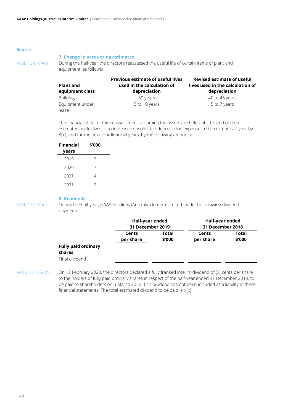# <span id="page-40-0"></span>**7. Change in accounting estimates**

AASB 134.16A(d) During the half-year the directors reassessed the useful life of certain items of plant and equipment, as follows:

| <b>Plant and</b><br>equipment class | <b>Previous estimate of useful lives</b><br>used in the calculation of<br>depreciation | <b>Revised estimate of useful</b><br>lives used in the calculation of<br>depreciation |  |  |
|-------------------------------------|----------------------------------------------------------------------------------------|---------------------------------------------------------------------------------------|--|--|
| <b>Buildings</b>                    | 50 years                                                                               | 40 to 45 years                                                                        |  |  |
| Equipment under                     | 5 to 10 years                                                                          | 5 to 7 years                                                                          |  |  |
| lease                               |                                                                                        |                                                                                       |  |  |

The financial effect of this reassessment, assuming the assets are held until the end of their estimated useful lives, is to increase consolidated depreciation expense in the current half-year by \$[x], and for the next four financial years, by the following amounts:

| <b>Financial</b><br>years | \$'000        |
|---------------------------|---------------|
|                           |               |
| 2019                      | 9             |
| 2020                      | 7             |
|                           |               |
| 2021                      | 4             |
| 2021                      | $\mathcal{P}$ |

<span id="page-40-1"></span>**8. Dividends**

AASB 134.16A(f) During the half-year, GAAP Holdings (Australia) Interim Limited made the following dividend payments:

|                                                        | Half-year ended<br>31 December 2019 |                        | Half-year ended<br>31 December 2018 |                        |
|--------------------------------------------------------|-------------------------------------|------------------------|-------------------------------------|------------------------|
|                                                        | Cents<br>per share                  | <b>Total</b><br>\$'000 | Cents<br>per share                  | <b>Total</b><br>\$'000 |
| <b>Fully paid ordinary</b><br>shares<br>Final dividend |                                     |                        |                                     |                        |

AASB 134.16A(h) On 12 February 2020, the directors declared a fully franked interim dividend of [x] cents per share to the holders of fully paid ordinary shares in respect of the half-year ended 31 December 2019, to be paid to shareholders on 5 March 2020. This dividend has not been included as a liability in these financial statements. The total estimated dividend to be paid is  $$[x]$ .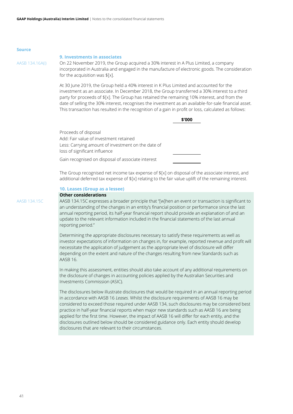# <span id="page-41-0"></span>**9. Investments in associates**

AASB 134.16A(i) On 22 November 2019, the Group acquired a 30% interest in A Plus Limited, a company incorporated in Australia and engaged in the manufacture of electronic goods. The consideration for the acquisition was \$[x].

> At 30 June 2019, the Group held a 40% interest in K Plus Limited and accounted for the investment as an associate. In December 2018, the Group transferred a 30% interest to a third party for proceeds of \$[x]. The Group has retained the remaining 10% interest, and from the date of selling the 30% interest, recognises the investment as an available-for-sale financial asset. This transaction has resulted in the recognition of a gain in profit or loss, calculated as follows:

> > **\$'000**

Proceeds of disposal Add: Fair value of investment retained Less: Carrying amount of investment on the date of loss of significant influence

Gain recognised on disposal of associate interest

The Group recognised net income tax expense of  $f[x]$  on disposal of the associate interest, and additional deferred tax expense of \$[x] relating to the fair value uplift of the remaining interest.

# <span id="page-41-1"></span>**10. Leases (Group as a lessee)**

# **Other considerations**

AASB 134.15C AASB 134.15C expresses a broader principle that "[w]hen an event or transaction is significant to an understanding of the changes in an entity's financial position or performance since the last annual reporting period, its half-year financial report should provide an explanation of and an update to the relevant information included in the financial statements of the last annual reporting period."

> Determining the appropriate disclosures necessary to satisfy these requirements as well as investor expectations of information on changes in, for example, reported revenue and profit will necessitate the application of judgement as the appropriate level of disclosure will differ depending on the extent and nature of the changes resulting from new Standards such as AASB 16.

In making this assessment, entities should also take account of any additional requirements on the disclosure of changes in accounting policies applied by the Australian Securities and Investments Commission (ASIC).

The disclosures below illustrate disclosures that would be required in an annual reporting period in accordance with AASB 16 *Leases*. Whilst the disclosure requirements of AASB 16 may be considered to exceed those required under AASB 134, such disclosures may be considered best practice in half-year financial reports when major new standards such as AASB 16 are being applied for the first time. However, the impact of AASB 16 will differ for each entity, and the disclosures outlined below should be considered guidance only. Each entity should develop disclosures that are relevant to their circumstances.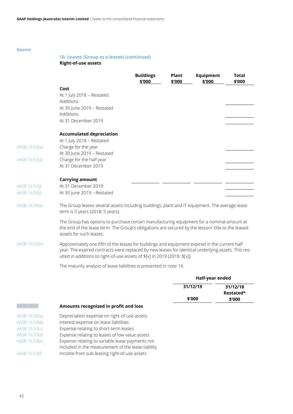# **10. Leases (Group as a lessee) (continued)**

**Right-of-use assets**

|                                |                                                                                                                                                                                                                                                                                  | <b>Buildings</b><br>\$'000 | <b>Plant</b><br>\$'000 | Equipment<br>\$'000 | <b>Total</b><br>\$'000 |
|--------------------------------|----------------------------------------------------------------------------------------------------------------------------------------------------------------------------------------------------------------------------------------------------------------------------------|----------------------------|------------------------|---------------------|------------------------|
|                                | Cost<br>At 1 July 2018 - Restated<br>Additions<br>At 30 June 2019 - Restated<br>Additions<br>At 31 December 2019                                                                                                                                                                 |                            |                        |                     |                        |
|                                | <b>Accumulated depreciation</b><br>At 1 July 2018 - Restated                                                                                                                                                                                                                     |                            |                        |                     |                        |
| AASB 16:53(a)                  | Charge for the year<br>At 30 June 2019 - Restated                                                                                                                                                                                                                                |                            |                        |                     |                        |
| AASB 16:53(a)                  | Charge for the half year                                                                                                                                                                                                                                                         |                            |                        |                     |                        |
|                                | At 31 December 2019                                                                                                                                                                                                                                                              |                            |                        |                     |                        |
| AASB 16:53(j)<br>AASB 16:53(j) | <b>Carrying amount</b><br>At 31 December 2019<br>At 30 June 2019 - Restated                                                                                                                                                                                                      |                            |                        |                     |                        |
| AASB 16:59(a)                  | The Group leases several assets including buildings, plant and IT equipment. The average lease<br>term is 5 years (2018: 5 years).                                                                                                                                               |                            |                        |                     |                        |
|                                | The Group has options to purchase certain manufacturing equipment for a nominal amount at<br>the end of the lease term. The Group's obligations are secured by the lessors' title to the leased<br>assets for such leases.                                                       |                            |                        |                     |                        |
| AASB 16:53(h)                  | Approximately one fifth of the leases for buildings and equipment expired in the current half<br>year. The expired contracts were replaced by new leases for identical underlying assets. This res-<br>ulted in additions to right-of-use assets of \$[x] in 2019 (2018: \$[x]). |                            |                        |                     |                        |
|                                | The maturity analysis of lease liabilities is presented in note 14.                                                                                                                                                                                                              |                            |                        |                     |                        |
|                                |                                                                                                                                                                                                                                                                                  |                            |                        | Half-year ended     |                        |

|                   |                                                                                                       | 31/12/19 | 31/12/18<br>Restated* |
|-------------------|-------------------------------------------------------------------------------------------------------|----------|-----------------------|
|                   |                                                                                                       | \$'000   | \$'000                |
| <b>AASB 16:54</b> | Amounts recognised in profit and loss                                                                 |          |                       |
| AASB 16:53(a)     | Depreciation expense on right-of-use assets                                                           |          |                       |
| AASB 16:53(b)     | Interest expense on lease liabilities                                                                 |          |                       |
| AASB 16.53(c)     | Expense relating to short-term leases                                                                 |          |                       |
| AASB 16.53(d)     | Expense relating to leases of low value assets                                                        |          |                       |
| AASB 16.53(e)     | Expense relating to variable lease payments not<br>included in the measurement of the lease liability |          |                       |
| AASB 16.53(f)     | Income from sub-leasing right-of-use assets                                                           |          |                       |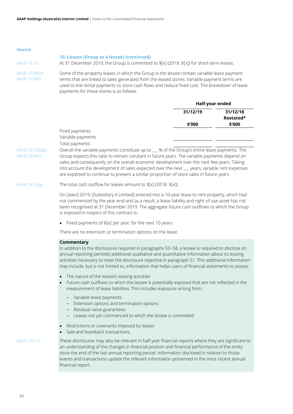| source                        |                                                                                                                                                                                                                                                                                                                                          |
|-------------------------------|------------------------------------------------------------------------------------------------------------------------------------------------------------------------------------------------------------------------------------------------------------------------------------------------------------------------------------------|
| AASB 16.55                    | 10. Leases (Group as a lessee) (continued)<br>At 31 December 2019, the Group is committed to $\frac{5}{2}$ (2018: $\frac{5}{2}$ ) for short-term leases.                                                                                                                                                                                 |
| AASB 16:59(b);<br>AASB 16:B49 | Some of the property leases in which the Group is the lessee contain variable lease payment<br>terms that are linked to sales generated from the leased stores. Variable payment terms are<br>used to link rental payments to store cash flows and reduce fixed cost. The breakdown of lease<br>payments for these stores is as follows. |

|                   | Half-year ended |                       |
|-------------------|-----------------|-----------------------|
|                   | 31/12/19        | 31/12/18<br>Restated* |
|                   | \$'000          | \$'000                |
| Fixed payments    |                 |                       |
| Variable payments |                 |                       |
| Total payments    |                 |                       |

AASB 16:59(b)(i); AASB 16:B49 Overall the variable payments constitute up to \_\_\_ % of the Group's entire lease payments. The Group expects this ratio to remain constant in future years. The variable payments depend on sales and consequently on the overall economic development over the next few years. Taking into account the development of sales expected over the next \_\_\_ years, variable rent expenses are expected to continue to present a similar proportion of store sales in future years.

# AASB 16:53(g) The total cash outflow for leases amount to  $[ x]$  (2018:  $[ x]$ ).

On [date] 2019, [Subsidiary X Limited] entered into a 10-year lease to rent property, which had not commenced by the year-end and as a result, a lease liability and right-of-use asset has not been recognised at 31 December 2019. The aggregate future cash outflows to which the Group is exposed in respect of this contract is:

• Fixed payments of \$[x] per year, for the next 10 years.

There are no extension or termination options on the lease.

# **Commentary**

In addition to the disclosures required in paragraphs 53–58, a lessee is required to disclose (in annual reporting periods) additional qualitative and quantitative information about its leasing activities necessary to meet the disclosure objective in paragraph 51. This additional information may include, but is not limited to, information that helps users of financial statements to assess:

- The nature of the lessee's leasing activities
- Future cash outflows to which the lessee is potentially exposed that are not reflected in the measurement of lease liabilities. This includes exposure arising from:
	- ‒ Variable lease payments
	- ‒ Extension options and termination options
	- ‒ Residual value guarantees
	- Leases not yet commenced to which the lessee is committed
- Restrictions or covenants imposed by leases
- Sale and leaseback transactions.

AASB 134.15 These disclosures may also be relevant in half-year financial reports where they are significant to an understanding of the changes in financial position and financial performance of the entity since the end of the last annual reporting period. Information disclosed in relation to those events and transactions update the relevant information presented in the most recent annual financial report.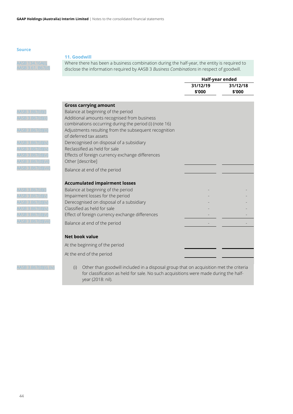AASB 134.16A(i),

# <span id="page-44-0"></span>**11. Goodwill**

Where there has been a business combination during the half-year, the entity is required to disclose the information required by AASB 3 *Business Combinations* in respect of goodwill.

|                                     |                                                                                                                                             | Half-year ended    |                    |
|-------------------------------------|---------------------------------------------------------------------------------------------------------------------------------------------|--------------------|--------------------|
|                                     |                                                                                                                                             | 31/12/19<br>\$'000 | 31/12/18<br>\$'000 |
|                                     | <b>Gross carrying amount</b>                                                                                                                |                    |                    |
| AASB 3.B67(d)(<br>AASB 3.B67(d)(ii  | Balance at beginning of the period<br>Additional amounts recognised from business<br>combinations occurring during the period (i) (note 16) |                    |                    |
| AASB 3.B67(d)(iii                   | Adjustments resulting from the subsequent recognition<br>of deferred tax assets                                                             |                    |                    |
| AASB 3.B67(d)(iv<br>ASB 3 B67(d)(iv | Derecognised on disposal of a subsidiary<br>Reclassified as held for sale                                                                   |                    |                    |
| AASB 3.B67(d)(vi                    | Effects of foreign currency exchange differences                                                                                            |                    |                    |
| AASB 3.B67(d)(vii                   | Other [describe]                                                                                                                            |                    |                    |
| AASB 3.B67(d)(viii                  | Balance at end of the period                                                                                                                |                    |                    |
|                                     | <b>Accumulated impairment losses</b>                                                                                                        |                    |                    |
| AASB 3.B67(d)(                      | Balance at beginning of the period                                                                                                          |                    |                    |
| AASB 3.B67(d)(                      | Impairment losses for the period                                                                                                            |                    |                    |
| AASB 3.B67(d)(iv                    | Derecognised on disposal of a subsidiary                                                                                                    |                    |                    |
| 4ASB 3.B67(d)(iv                    | Classified as held for sale                                                                                                                 |                    |                    |
| AASB 3.B67(d)(vi                    | Effect of foreign currency exchange differences                                                                                             |                    |                    |
| AASB 3.B67(d)(viii)                 | Balance at end of the period                                                                                                                |                    |                    |
|                                     | <b>Net book value</b>                                                                                                                       |                    |                    |
|                                     | At the beginning of the period                                                                                                              |                    |                    |
|                                     | At the end of the period                                                                                                                    |                    |                    |
|                                     |                                                                                                                                             |                    |                    |

AASB 3.B67(d)(ii), (iv) (i) Other than goodwill included in a disposal group that on acquisition met the criteria for classification as held for sale. No such acquisitions were made during the halfyear (2018: nil).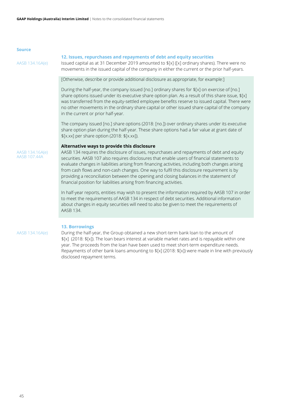| $\triangle$ ACR 13/16 $\triangle$ (a) |  |  |
|---------------------------------------|--|--|

# <span id="page-45-0"></span>**12. Issues, repurchases and repayments of debt and equity securities**

Issued capital as at 31 December 2019 amounted to  $f[x]$  ([x] ordinary shares). There were no movements in the issued capital of the company in either the current or the prior half-years.

[Otherwise, describe or provide additional disclosure as appropriate, for example:]

During the half-year, the company issued [no.] ordinary shares for \$[x] on exercise of [no.] share options issued under its executive share option plan. As a result of this share issue, \$[x] was transferred from the equity-settled employee benefits reserve to issued capital. There were no other movements in the ordinary share capital or other issued share capital of the company in the current or prior half-year.

The company issued [no.] share options (2018: [no.]) over ordinary shares under its executive share option plan during the half-year. These share options had a fair value at grant date of \$[x.xx] per share option (2018: \$[x.xx]).

# **Alternative ways to provide this disclosure**

AASB 134.16A(e) AASB 107.44A

AASB 134 requires the disclosure of issues, repurchases and repayments of debt and equity securities. AASB 107 also requires disclosures that enable users of financial statements to evaluate changes in liabilities arising from financing activities, including both changes arising from cash flows and non-cash changes. One way to fulfil this disclosure requirement is by providing a reconciliation between the opening and closing balances in the statement of financial position for liabilities arising from financing activities.

In half-year reports, entities may wish to present the information required by AASB 107 in order to meet the requirements of AASB 134 in respect of debt securities. Additional information about changes in equity securities will need to also be given to meet the requirements of AASB 134.

## <span id="page-45-1"></span>**13. Borrowings**

AASB 134.16A(e) During the half-year, the Group obtained a new short-term bank loan to the amount of \$[x] (2018: \$[x]). The loan bears interest at variable market rates and is repayable within one year. The proceeds from the loan have been used to meet short-term expenditure needs. Repayments of other bank loans amounting to \$[x] (2018: \$[x]) were made in line with previously disclosed repayment terms.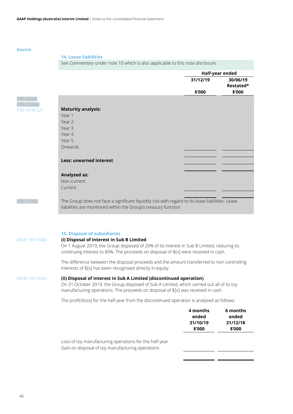# <span id="page-46-0"></span>**14. Lease liabilities**

See *Commentary* under note 10 which is also applicable to this note disclosure.

|                                      |                                                                                                  | Half-year ended |           |
|--------------------------------------|--------------------------------------------------------------------------------------------------|-----------------|-----------|
|                                      |                                                                                                  | 31/12/19        | 30/06/19  |
|                                      |                                                                                                  |                 | Restated* |
|                                      |                                                                                                  | \$'000          | \$'000    |
| <b>IFRS 16:58:</b>                   |                                                                                                  |                 |           |
| IFRS 7:39(a)<br><b>IFRS 16:BC221</b> | <b>Maturity analysis:</b>                                                                        |                 |           |
|                                      | Year 1                                                                                           |                 |           |
|                                      | Year 2                                                                                           |                 |           |
|                                      | Year 3                                                                                           |                 |           |
|                                      | Year 4                                                                                           |                 |           |
|                                      | Year 5                                                                                           |                 |           |
|                                      | Onwards                                                                                          |                 |           |
|                                      |                                                                                                  |                 |           |
|                                      | <b>Less: unearned interest</b>                                                                   |                 |           |
|                                      |                                                                                                  |                 |           |
|                                      | <b>Analysed as:</b>                                                                              |                 |           |
|                                      | Non-current                                                                                      |                 |           |
|                                      | Current                                                                                          |                 |           |
|                                      |                                                                                                  |                 |           |
| <b>IFRS 7:39(c)</b>                  | The Group does not face a significant liquidity risk with regard to its lease liabilities. Lease |                 |           |
|                                      | liabilities are monitored within the Group's treasury function.                                  |                 |           |
|                                      |                                                                                                  |                 |           |
|                                      |                                                                                                  |                 |           |
|                                      |                                                                                                  |                 |           |
|                                      |                                                                                                  |                 |           |

# **15. Disposal of subsidiaries**

# AASB 134.16A(i) **(i) Disposal of interest in Sub B Limited**

<span id="page-46-1"></span>On 1 August 2019, the Group disposed of 20% of its interest in Sub B Limited, reducing its continuing interest to 80%. The proceeds on disposal of \$[x] were received in cash.

The difference between the disposal proceeds and the amount transferred to non-controlling interests of \$[x] has been recognised directly in equity.

# AASB 134.16A(i) **(ii) Disposal of interest in Sub A Limited (discontinued operation)**

On 31 October 2019, the Group disposed of Sub A Limited, which carried out all of its toy manufacturing operations. The proceeds on disposal of \$[x] was received in cash.

The profit/(loss) for the half-year from the discontinued operation is analysed as follows:

|                                                                                                            | 4 months<br>ended<br>31/10/19<br>\$'000 | 6 months<br>ended<br>31/12/18<br>\$'000 |
|------------------------------------------------------------------------------------------------------------|-----------------------------------------|-----------------------------------------|
| Loss of toy manufacturing operations for the half-year<br>Gain on disposal of toy manufacturing operations |                                         |                                         |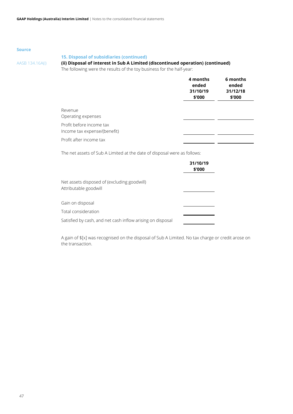# **15. Disposal of subsidiaries (continued)**

# AASB 134.16A(i) **(ii) Disposal of interest in Sub A Limited (discontinued operation) (continued)**

The following were the results of the toy business for the half-year:

|                                                          | 4 months<br>ended<br>31/10/19<br>\$'000 | 6 months<br>ended<br>31/12/18<br>\$'000 |
|----------------------------------------------------------|-----------------------------------------|-----------------------------------------|
| Revenue<br>Operating expenses                            |                                         |                                         |
| Profit before income tax<br>Income tax expense/(benefit) |                                         |                                         |
| Profit after income tax                                  |                                         |                                         |

The net assets of Sub A Limited at the date of disposal were as follows:

|                                                                      | 31/10/19<br>\$'000 |
|----------------------------------------------------------------------|--------------------|
| Net assets disposed of (excluding goodwill)<br>Attributable goodwill |                    |
| Gain on disposal                                                     |                    |
| Total consideration                                                  |                    |
| Satisfied by cash, and net cash inflow arising on disposal           |                    |

A gain of \$[x] was recognised on the disposal of Sub A Limited. No tax charge or credit arose on the transaction.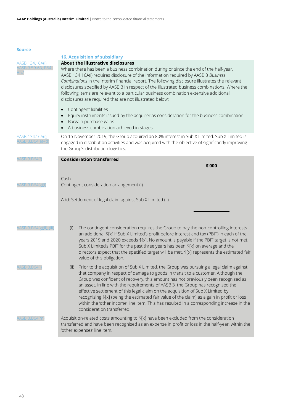<span id="page-48-0"></span>

|                          | <b>16. Acquisition of subsidiary</b>                                                                                                                                                                                                                                                                                                                                                                                                                                                                                                                                                                                                                                       |  |  |  |  |
|--------------------------|----------------------------------------------------------------------------------------------------------------------------------------------------------------------------------------------------------------------------------------------------------------------------------------------------------------------------------------------------------------------------------------------------------------------------------------------------------------------------------------------------------------------------------------------------------------------------------------------------------------------------------------------------------------------------|--|--|--|--|
| AASB 134.16A(i),         | About the illustrative disclosures<br>Where there has been a business combination during or since the end of the half-year,<br>AASB 134.16A(i) requires disclosure of the information required by AASB 3 Business<br>Combinations in the interim financial report. The following disclosure illustrates the relevant<br>disclosures specified by AASB 3 in respect of the illustrated business combinations. Where the<br>following items are relevant to a particular business combination extensive additional<br>disclosures are required that are not illustrated below:                                                                                               |  |  |  |  |
|                          | Contingent liabilities<br>$\bullet$<br>Equity instruments issued by the acquirer as consideration for the business combination<br>Bargain purchase gains<br>A business combination achieved in stages.                                                                                                                                                                                                                                                                                                                                                                                                                                                                     |  |  |  |  |
| AASB 134.16A(i),         | On 15 November 2019, the Group acquired an 80% interest in Sub X Limited. Sub X Limited is<br>engaged in distribution activities and was acquired with the objective of significantly improving<br>the Group's distribution logistics.                                                                                                                                                                                                                                                                                                                                                                                                                                     |  |  |  |  |
| AASB 3.B64(f             | <b>Consideration transferred</b>                                                                                                                                                                                                                                                                                                                                                                                                                                                                                                                                                                                                                                           |  |  |  |  |
| AASB 3.B64(g)(i)         | \$'000<br>Cash<br>Contingent consideration arrangement (i)                                                                                                                                                                                                                                                                                                                                                                                                                                                                                                                                                                                                                 |  |  |  |  |
|                          | Add: Settlement of legal claim against Sub X Limited (ii)                                                                                                                                                                                                                                                                                                                                                                                                                                                                                                                                                                                                                  |  |  |  |  |
| AASB 3.B64(g)(ii), (iii) | The contingent consideration requires the Group to pay the non-controlling interests<br>(i)<br>an additional \$[x] if Sub X Limited's profit before interest and tax (PBIT) in each of the<br>years 2019 and 2020 exceeds \$[x]. No amount is payable if the PBIT target is not met.<br>Sub X Limited's PBIT for the past three years has been \$[x] on average and the<br>directors expect that the specified target will be met. \$[x] represents the estimated fair<br>value of this obligation.                                                                                                                                                                        |  |  |  |  |
| AASB 3.B64(              | Prior to the acquisition of Sub X Limited, the Group was pursuing a legal claim against<br>(ii)<br>that company in respect of damage to goods in transit to a customer. Although the<br>Group was confident of recovery, this amount has not previously been recognised as<br>an asset. In line with the requirements of AASB 3, the Group has recognised the<br>effective settlement of this legal claim on the acquisition of Sub X Limited by<br>recognising \$[x] (being the estimated fair value of the claim) as a gain in profit or loss<br>within the 'other income' line item. This has resulted in a corresponding increase in the<br>consideration transferred. |  |  |  |  |
| <b>ASB 3.B64(m</b>       | Acquisition-related costs amounting to \$[x] have been excluded from the consideration<br>transferred and have been recognised as an expense in profit or loss in the half-year, within the<br>'other expenses' line item.                                                                                                                                                                                                                                                                                                                                                                                                                                                 |  |  |  |  |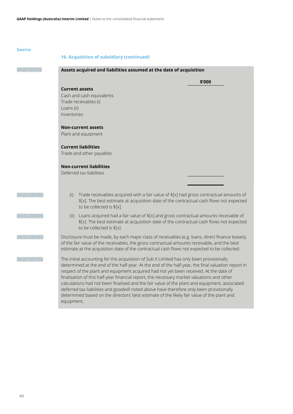|              | <b>16. Acquisition of subsidiary (continued)</b>                                                                                                                                                                                                                                                                                                                                                                                                                                                                                                                                                                                                                                              |
|--------------|-----------------------------------------------------------------------------------------------------------------------------------------------------------------------------------------------------------------------------------------------------------------------------------------------------------------------------------------------------------------------------------------------------------------------------------------------------------------------------------------------------------------------------------------------------------------------------------------------------------------------------------------------------------------------------------------------|
|              | Assets acquired and liabilities assumed at the date of acquisition                                                                                                                                                                                                                                                                                                                                                                                                                                                                                                                                                                                                                            |
|              | \$'000                                                                                                                                                                                                                                                                                                                                                                                                                                                                                                                                                                                                                                                                                        |
|              | <b>Current assets</b><br>Cash and cash equivalents                                                                                                                                                                                                                                                                                                                                                                                                                                                                                                                                                                                                                                            |
|              | Trade receivables (i)                                                                                                                                                                                                                                                                                                                                                                                                                                                                                                                                                                                                                                                                         |
|              | Loans (ii)                                                                                                                                                                                                                                                                                                                                                                                                                                                                                                                                                                                                                                                                                    |
|              | Inventories                                                                                                                                                                                                                                                                                                                                                                                                                                                                                                                                                                                                                                                                                   |
|              | <b>Non-current assets</b>                                                                                                                                                                                                                                                                                                                                                                                                                                                                                                                                                                                                                                                                     |
|              | Plant and equipment                                                                                                                                                                                                                                                                                                                                                                                                                                                                                                                                                                                                                                                                           |
|              | <b>Current liabilities</b>                                                                                                                                                                                                                                                                                                                                                                                                                                                                                                                                                                                                                                                                    |
|              | Trade and other payables                                                                                                                                                                                                                                                                                                                                                                                                                                                                                                                                                                                                                                                                      |
|              | <b>Non-current liabilities</b>                                                                                                                                                                                                                                                                                                                                                                                                                                                                                                                                                                                                                                                                |
|              | Deferred tax liabilities                                                                                                                                                                                                                                                                                                                                                                                                                                                                                                                                                                                                                                                                      |
|              |                                                                                                                                                                                                                                                                                                                                                                                                                                                                                                                                                                                                                                                                                               |
| AASB 3.B64(h | Trade receivables acquired with a fair value of \$[x] had gross contractual amounts of<br>(i)<br>\$[x]. The best estimate at acquisition date of the contractual cash flows not expected<br>to be collected is \$[x].                                                                                                                                                                                                                                                                                                                                                                                                                                                                         |
| AASB 3.B64(h | Loans acquired had a fair value of \$[x] and gross contractual amounts receivable of<br>(ii)<br>\$[x]. The best estimate at acquisition date of the contractual cash flows not expected<br>to be collected is \$[x].                                                                                                                                                                                                                                                                                                                                                                                                                                                                          |
| AASB 3.B64(r | Disclosure must be made, by each major class of receivables (e.g. loans, direct finance leases),<br>of the fair value of the receivables, the gross contractual amounts receivable, and the best<br>estimate at the acquisition date of the contractual cash flows not expected to be collected.                                                                                                                                                                                                                                                                                                                                                                                              |
| AASB 3.B67(a | The initial accounting for the acquisition of Sub X Limited has only been provisionally<br>determined at the end of the half-year. At the end of the half-year, the final valuation report in<br>respect of the plant and equipment acquired had not yet been received. At the date of<br>finalisation of this half-year financial report, the necessary market valuations and other<br>calculations had not been finalised and the fair value of the plant and equipment, associated<br>deferred tax liabilities and goodwill noted above have therefore only been provisionally<br>determined based on the directors' best estimate of the likely fair value of the plant and<br>equipment. |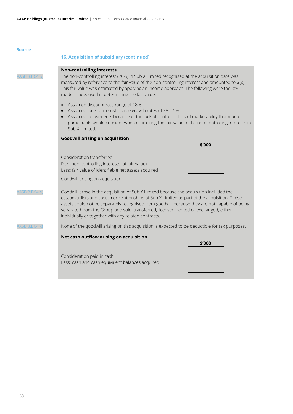| The non-controlling interest (20%) in Sub X Limited recognised at the acquisition date was<br>measured by reference to the fair value of the non-controlling interest and amounted to \$[x].<br>This fair value was estimated by applying an income approach. The following were the key<br>Assumed adjustments because of the lack of control or lack of marketability that market<br>participants would consider when estimating the fair value of the non-controlling interests in |
|---------------------------------------------------------------------------------------------------------------------------------------------------------------------------------------------------------------------------------------------------------------------------------------------------------------------------------------------------------------------------------------------------------------------------------------------------------------------------------------|
|                                                                                                                                                                                                                                                                                                                                                                                                                                                                                       |
|                                                                                                                                                                                                                                                                                                                                                                                                                                                                                       |
|                                                                                                                                                                                                                                                                                                                                                                                                                                                                                       |
|                                                                                                                                                                                                                                                                                                                                                                                                                                                                                       |
|                                                                                                                                                                                                                                                                                                                                                                                                                                                                                       |
|                                                                                                                                                                                                                                                                                                                                                                                                                                                                                       |
| Goodwill arose in the acquisition of Sub X Limited because the acquisition included the<br>customer lists and customer relationships of Sub X Limited as part of the acquisition. These<br>assets could not be separately recognised from goodwill because they are not capable of being<br>separated from the Group and sold, transferred, licensed, rented or exchanged, either                                                                                                     |
| None of the goodwill arising on this acquisition is expected to be deductible for tax purposes.                                                                                                                                                                                                                                                                                                                                                                                       |
|                                                                                                                                                                                                                                                                                                                                                                                                                                                                                       |
|                                                                                                                                                                                                                                                                                                                                                                                                                                                                                       |
|                                                                                                                                                                                                                                                                                                                                                                                                                                                                                       |
|                                                                                                                                                                                                                                                                                                                                                                                                                                                                                       |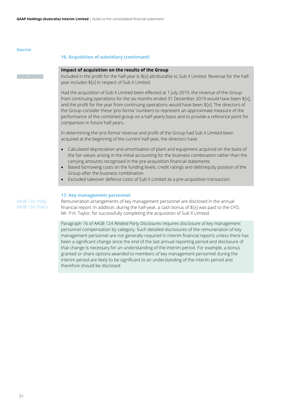# **16. Acquisition of subsidiary (continued)**

# **Impact of acquisition on the results of the Group**

AASB 3.B64(q) Included in the profit for the half-year is  $\frac{1}{2}$  attributable to Sub X Limited. Revenue for the halfyear includes \$[x] in respect of Sub X Limited.

> Had the acquisition of Sub X Limited been effected at 1 July 2019, the revenue of the Group from continuing operations for the six months ended 31 December 2019 would have been \$[x], and the profit for the year from continuing operations would have been  $f[x]$ . The directors of the Group consider these 'pro-forma' numbers to represent an approximate measure of the performance of the combined group on a half-yearly basis and to provide a reference point for comparison in future half-years.

In determining the 'pro-forma' revenue and profit of the Group had Sub X Limited been acquired at the beginning of the current half-year, the directors have:

- Calculated depreciation and amortisation of plant and equipment acquired on the basis of the fair values arising in the initial accounting for the business combination rather than the carrying amounts recognised in the pre-acquisition financial statements
- Based borrowing costs on the funding levels, credit ratings and debt/equity position of the Group after the business combination
- Excluded takeover defence costs of Sub X Limited as a pre-acquisition transaction.

# <span id="page-51-0"></span>**17. Key management personnel**

AASB 134.15B(j) AASB 134.16A(c) Remuneration arrangements of key management personnel are disclosed in the annual financial report. In addition, during the half-year, a cash bonus of \$[x] was paid to the CFO, Mr. P.H. Taylor, for successfully completing the acquisition of Sub X Limited.

Paragraph 16 of AASB 124 *Related Party Disclosures* requires disclosure of key management personnel compensation by category. Such detailed disclosures of the remuneration of key management personnel are not generally required in interim financial reports unless there has been a significant change since the end of the last annual reporting period and disclosure of that change is necessary for an understanding of the interim period. For example, a bonus granted or share options awarded to members of key management personnel during the interim period are likely to be significant to an understanding of the interim period and therefore should be disclosed.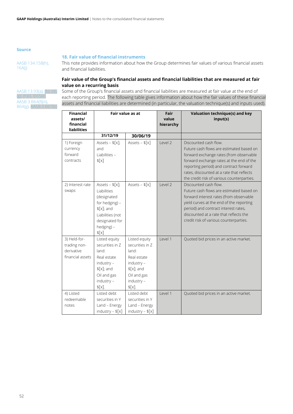# <span id="page-52-0"></span>**18. Fair value of financial instruments**

AASB 134.15B(h), 16A(j)

This note provides information about how the Group determines fair values of various financial assets and financial liabilities.

# **Fair value of the Group's financial assets and financial liabilities that are measured at fair value on a recurring basis**

AASB 13.93(a), (b), (d),  $(g)$ , (h)(i), IE6 AASB 3.B64(f)(iii), B64(g), AASB 3 B67(b)

Some of the Group's financial assets and financial liabilities are measured at fair value at the end of each reporting period. The following table gives information about how the fair values of these financial assets and financial liabilities are determined (in particular, the valuation technique(s) and inputs used).

| <b>Financial</b><br>assets/<br>financial<br>liabilities        | Fair value as at                                                                                                                                 |                                                                                                                                  | Fair<br>value<br>hierarchy | Valuation technique(s) and key<br>input(s)                                                                                                                                                                                                                                                    |
|----------------------------------------------------------------|--------------------------------------------------------------------------------------------------------------------------------------------------|----------------------------------------------------------------------------------------------------------------------------------|----------------------------|-----------------------------------------------------------------------------------------------------------------------------------------------------------------------------------------------------------------------------------------------------------------------------------------------|
|                                                                | 31/12/19                                                                                                                                         | 30/06/19                                                                                                                         |                            |                                                                                                                                                                                                                                                                                               |
| 1) Foreign<br>currency<br>forward<br>contracts                 | Assets - $\{[x]$ ;<br>and<br>Liabilities -<br>$\frac{1}{2}$                                                                                      | Assets - $f[x]$                                                                                                                  | Level <sub>2</sub>         | Discounted cash flow.<br>Future cash flows are estimated based on<br>forward exchange rates (from observable<br>forward exchange rates at the end of the<br>reporting period) and contract forward<br>rates, discounted at a rate that reflects<br>the credit risk of various counterparties. |
| 2) Interest rate<br>swaps                                      | Assets - $\{[x]$ ;<br>Liabilities<br>(designated<br>for hedging) -<br>$\S[X]$ ; and<br>Liabilities (not<br>designated for<br>hedging) -<br>\$[x] | Assets - $\{[x]\}$                                                                                                               | Level 2                    | Discounted cash flow.<br>Future cash flows are estimated based on<br>forward interest rates (from observable<br>yield curves at the end of the reporting<br>period) and contract interest rates,<br>discounted at a rate that reflects the<br>credit risk of various counterparties.          |
| 3) Held-for-<br>trading non-<br>derivative<br>financial assets | Listed equity<br>securities in Z<br>land:<br>Real estate<br>industry -<br>$\S[X]$ ; and<br>Oil and gas<br>industry -<br>$$[x]$ .                 | Listed equity<br>securities in Z<br>land:<br>Real estate<br>industry -<br>$\S[X]$ ; and<br>Oil and gas<br>industry -<br>$$[x]$ . | Level 1                    | Quoted bid prices in an active market.                                                                                                                                                                                                                                                        |
| 4) Listed<br>redeemable<br>notes                               | Listed debt<br>securities in Y<br>Land - Energy<br>industry - $f[x]$                                                                             | Listed debt<br>securities in Y<br>Land - Energy<br>industry - $f[x]$                                                             | Level 1                    | Quoted bid prices in an active market.                                                                                                                                                                                                                                                        |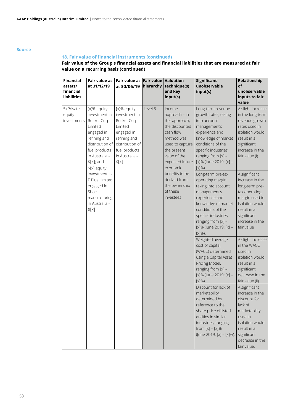# **18. Fair value of financial instruments (continued)**

# **Fair value of the Group's financial assets and financial liabilities that are measured at fair value on a recurring basis (continued)**

| <b>Financial</b><br>assets/<br>financial<br><b>liabilities</b> | Fair value as<br>at 31/12/19                                                                                                                                                | Fair value as Fair value Valuation<br>at 30/06/19                                                                                                   | hierarchy | technique(s)<br>and key<br>input(s)                                                                                                                                     | <b>Significant</b><br>unobservable<br>input(s)                                                                                                                                                                                    | Relationship<br>of<br>unobservable<br>inputs to fair<br>value                                                                                                              |
|----------------------------------------------------------------|-----------------------------------------------------------------------------------------------------------------------------------------------------------------------------|-----------------------------------------------------------------------------------------------------------------------------------------------------|-----------|-------------------------------------------------------------------------------------------------------------------------------------------------------------------------|-----------------------------------------------------------------------------------------------------------------------------------------------------------------------------------------------------------------------------------|----------------------------------------------------------------------------------------------------------------------------------------------------------------------------|
| 5) Private<br>equity<br>investments                            | [x]% equity<br>investment in<br>Rocket Corp<br>Limited<br>engaged in<br>refining and<br>distribution of<br>fuel products<br>in Australia -<br>$\S[X]$ ; and<br>\$[x] equity | [x]% equity<br>investment in<br>Rocket Corp<br>Limited<br>engaged in<br>refining and<br>distribution of<br>fuel products<br>in Australia -<br>\$[x] | Level 3   | Income<br>approach - in<br>this approach,<br>the discounted<br>cash flow<br>method was<br>used to capture<br>the present<br>value of the<br>expected future<br>economic | Long-term revenue<br>growth rates, taking<br>into account<br>management's<br>experience and<br>knowledge of market<br>conditions of the<br>specific industries,<br>ranging from $[x]$ -<br>[x]% (June 2019: [x] -<br>$[x]$ %).    | A slight increase<br>in the long-term<br>revenue growth<br>rates used in<br>isolation would<br>result in a<br>significant<br>increase in the<br>fair value (i)             |
|                                                                | investment in<br>E Plus Limited<br>engaged in<br>Shoe<br>manufacturing<br>in Australia -<br>\$[x]                                                                           |                                                                                                                                                     |           | benefits to be<br>derived from<br>the ownership<br>of these<br>investees                                                                                                | Long-term pre-tax<br>operating margin<br>taking into account<br>management's<br>experience and<br>knowledge of market<br>conditions of the<br>specific industries,<br>ranging from $[x]$ -<br>[x]% (June 2019: [x] -<br>$[x]$ %). | A significant<br>increase in the<br>long-term pre-<br>tax operating<br>margin used in<br>isolation would<br>result in a<br>significant<br>increase in the<br>fair value    |
|                                                                |                                                                                                                                                                             |                                                                                                                                                     |           | Weighted average<br>cost of capital,<br>(WACC) determined<br>using a Capital Asset<br>Pricing Model,<br>ranging from [x] -<br>[x]% (June 2019: [x] -<br>$[x]\%$ ).      | A slight increase<br>in the WACC<br>used in<br>isolation would<br>result in a<br>significant<br>decrease in the<br>fair value (ii).                                                                                               |                                                                                                                                                                            |
|                                                                |                                                                                                                                                                             |                                                                                                                                                     |           |                                                                                                                                                                         | Discount for lack of<br>marketability,<br>determined by<br>reference to the<br>share price of listed<br>entities in similar<br>industries, ranging<br>from $[x] - [x]\%$<br>(June 2019: [x] - [x]%).                              | A significant<br>increase in the<br>discount for<br>lack of<br>marketability<br>used in<br>isolation would<br>result in a<br>significant<br>decrease in the<br>fair value. |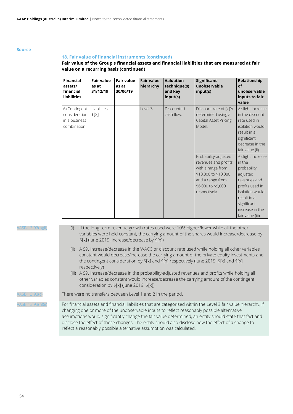# **18. Fair value of financial instruments (continued)**

# **Fair value of the Group's financial assets and financial liabilities that are measured at fair value on a recurring basis (continued)**

| <b>Financial</b><br>assets/<br>financial<br><b>liabilities</b> | <b>Fair value</b><br>as at<br>31/12/19 | <b>Fair value</b><br>as at<br>30/06/19 | <b>Fair value</b><br>hierarchy | <b>Valuation</b><br>technique(s)<br>and key<br>input(s) | <b>Significant</b><br>unobservable<br>input(s)                                                                                                        | Relationship<br>of<br>unobservable<br>inputs to fair<br>value                                                                                                                      |
|----------------------------------------------------------------|----------------------------------------|----------------------------------------|--------------------------------|---------------------------------------------------------|-------------------------------------------------------------------------------------------------------------------------------------------------------|------------------------------------------------------------------------------------------------------------------------------------------------------------------------------------|
| 6) Contingent<br>consideration<br>in a business<br>combination | Liabilities $-$<br>\$[x]               |                                        | Level 3                        | Discounted<br>cash flow.                                | Discount rate of [x]%<br>determined using a<br>Capital Asset Pricing<br>Model.                                                                        | A slight increase<br>in the discount<br>rate used in<br>isolation would<br>result in a<br>significant<br>decrease in the<br>fair value (ii).                                       |
|                                                                |                                        |                                        |                                |                                                         | Probability-adjusted<br>revenues and profits,<br>with a range from<br>\$10,000 to \$10,000<br>and a range from<br>\$6,000 to \$9,000<br>respectively. | A slight increase<br>in the<br>probability<br>adjusted<br>revenues and<br>profits used in<br>isolation would<br>result in a<br>significant<br>increase in the<br>fair value (iii). |

ASB 13.93(h)(ii) (i) If the long-term revenue growth rates used were 10% higher/lower while all the other variables were held constant, the carrying amount of the shares would increase/decrease by \$[x] (June 2019: increase/decrease by \$[x])

- (ii) A 5% increase/decrease in the WACC or discount rate used while holding all other variables constant would decrease/increase the carrying amount of the private equity investments and the contingent consideration by \$[x] and \$[x] respectively (June 2019: \$[x] and \$[x] respectively)
- (iii) A 5% increase/decrease in the probability-adjusted revenues and profits while holding all other variables constant would increase/decrease the carrying amount of the contingent consideration by \$[x] (June 2019: \$[x]).

 $\Delta$ ASB 13.93(c) There were no transfers between Level 1 and 2 in the period.

AASB 13.93(h)(ii) For financial assets and financial liabilities that are categorised within the Level 3 fair value hierarchy, if changing one or more of the unobservable inputs to reflect reasonably possible alternative assumptions would significantly change the fair value determined, an entity should state that fact and disclose the effect of those changes. The entity should also disclose how the effect of a change to reflect a reasonably possible alternative assumption was calculated.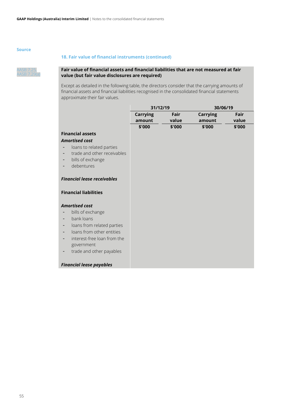# **18. Fair value of financial instruments (continued)**



# **Fair value of financial assets and financial liabilities that are not measured at fair value (but fair value disclosures are required)**

Except as detailed in the following table, the directors consider that the carrying amounts of financial assets and financial liabilities recognised in the consolidated financial statements approximate their fair values.

| 31/12/19 |        | 30/06/19 |        |  |
|----------|--------|----------|--------|--|
| Carrying | Fair   | Carrying | Fair   |  |
| amount   | value  | amount   | value  |  |
| \$'000   | \$'000 | \$'000   | \$'000 |  |

# **Financial assets**

# *Amortised cost*

- loans to related parties
- trade and other receivables
- bills of exchange
- debentures

# *Financial lease receivables*

# **Financial liabilities**

# *Amortised cost*

- bills of exchange
- bank loans
- loans from related parties
- loans from other entities
- interest-free loan from the government
- trade and other payables

# *Financial lease payables*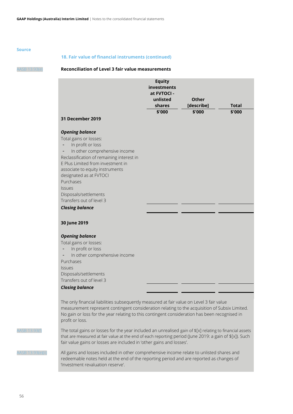# **18. Fair value of financial instruments (continued)**

# AASB 13.93(e) **Reconciliation of Level 3 fair value measurements**

| <b>31 December 2019</b>                                                                                                                                                                                                                                                                                                                                             | <b>Equity</b><br>investments<br>at FVTOCI -<br>unlisted<br>shares<br>\$'000 | Other<br>[describe]<br>\$'000 | <b>Total</b><br>\$'000 |
|---------------------------------------------------------------------------------------------------------------------------------------------------------------------------------------------------------------------------------------------------------------------------------------------------------------------------------------------------------------------|-----------------------------------------------------------------------------|-------------------------------|------------------------|
| <b>Opening balance</b><br>Total gains or losses:<br>In profit or loss<br>In other comprehensive income<br>Reclassification of remaining interest in<br>E Plus Limited from investment in<br>associate to equity instruments<br>designated as at FVTOCI<br>Purchases<br><b>Issues</b><br>Disposals/settlements<br>Transfers out of level 3<br><b>Closing balance</b> |                                                                             |                               |                        |
| 30 June 2019                                                                                                                                                                                                                                                                                                                                                        |                                                                             |                               |                        |
| <b>Opening balance</b><br>Total gains or losses:<br>In profit or loss<br>In other comprehensive income<br>Purchases<br><b>Issues</b><br>Disposals/settlements<br>Transfers out of level 3<br><b>Closing balance</b>                                                                                                                                                 |                                                                             |                               |                        |
| The only financial liabilities subsequently measured at fair value on Level 3 fair value<br>measurement represent contingent consideration relating to the acquisition of Subsix Limited.<br>No gain or loss for the year relating to this contingent consideration has been recognised in<br>profit or loss.                                                       |                                                                             |                               |                        |
| The total gains or losses for the year included an unrealised gain of $f[x]$ relating to financial assets<br>that are measured at fair value at the end of each reporting period (June 2019: a gain of \$[x]). Such<br>fair value gains or losses are included in 'other gains and losses'.                                                                         |                                                                             |                               |                        |

ASB 13.93(e)(ii) All gains and losses included in other comprehensive income relate to unlisted shares and redeemable notes held at the end of the reporting period and are reported as changes of 'Investment revaluation reserve'.

 $AASB$  13.93(f)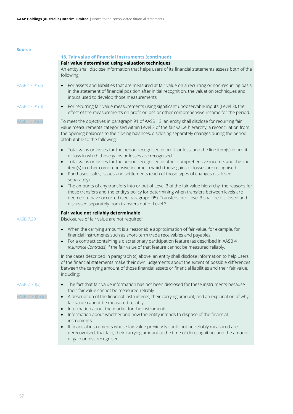|                                  | 18. Fair value of financial instruments (continued)                                                                                                                                                                                                                                                                                                                                                                                                                                                                                                                                                                                                                                                                                                                                                        |
|----------------------------------|------------------------------------------------------------------------------------------------------------------------------------------------------------------------------------------------------------------------------------------------------------------------------------------------------------------------------------------------------------------------------------------------------------------------------------------------------------------------------------------------------------------------------------------------------------------------------------------------------------------------------------------------------------------------------------------------------------------------------------------------------------------------------------------------------------|
|                                  | Fair value determined using valuation techniques<br>An entity shall disclose information that helps users of its financial statements assess both of the<br>following:                                                                                                                                                                                                                                                                                                                                                                                                                                                                                                                                                                                                                                     |
| AASB 13.91(a)                    | For assets and liabilities that are measured at fair value on a recurring or non-recurring basis<br>in the statement of financial position after initial recognition, the valuation techniques and<br>inputs used to develop those measurements                                                                                                                                                                                                                                                                                                                                                                                                                                                                                                                                                            |
| AASB 13.91(b)                    | For recurring fair value measurements using significant unobservable inputs (Level 3), the<br>$\bullet$<br>effect of the measurements on profit or loss or other comprehensive income for the period.                                                                                                                                                                                                                                                                                                                                                                                                                                                                                                                                                                                                      |
| 4ASB 13.93(e)                    | To meet the objectives in paragraph 91 of AASB 13, an entity shall disclose for recurring fair<br>value measurements categorised within Level 3 of the fair value hierarchy, a reconciliation from<br>the opening balances to the closing balances, disclosing separately changes during the period<br>attributable to the following:                                                                                                                                                                                                                                                                                                                                                                                                                                                                      |
|                                  | Total gains or losses for the period recognised in profit or loss, and the line item(s) in profit<br>or loss in which those gains or losses are recognised<br>Total gains or losses for the period recognised in other comprehensive income, and the line<br>item(s) in other comprehensive income in which those gains or losses are recognised<br>Purchases, sales, issues and settlements (each of those types of changes disclosed<br>separately)<br>The amounts of any transfers into or out of Level 3 of the fair value hierarchy, the reasons for<br>those transfers and the entity's policy for determining when transfers between levels are<br>deemed to have occurred (see paragraph 95). Transfers into Level 3 shall be disclosed and<br>discussed separately from transfers out of Level 3. |
| <b>AASB 7.29</b>                 | Fair value not reliably determinable<br>Disclosures of fair value are not required:                                                                                                                                                                                                                                                                                                                                                                                                                                                                                                                                                                                                                                                                                                                        |
|                                  | When the carrying amount is a reasonable approximation of fair value, for example, for<br>$\bullet$<br>financial instruments such as short-term trade receivables and payables<br>For a contract containing a discretionary participation feature (as described in AASB 4<br>$\bullet$<br>Insurance Contracts) if the fair value of that feature cannot be measured reliably.                                                                                                                                                                                                                                                                                                                                                                                                                              |
|                                  | In the cases described in paragraph (c) above, an entity shall disclose information to help users<br>of the financial statements make their own judgements about the extent of possible differences<br>between the carrying amount of those financial assets or financial liabilities and their fair value,<br>including:                                                                                                                                                                                                                                                                                                                                                                                                                                                                                  |
| AASB 7.30(a)<br>4ASB 7.30(b)-(e) | The fact that fair value information has not been disclosed for these instruments because<br>their fair value cannot be measured reliably<br>A description of the financial instruments, their carrying amount, and an explanation of why<br>$\bullet$<br>fair value cannot be measured reliably<br>Information about the market for the instruments<br>$\bullet$<br>Information about whether and how the entity intends to dispose of the financial<br>$\bullet$<br>instruments<br>If financial instruments whose fair value previously could not be reliably measured are<br>derecognised, that fact, their carrying amount at the time of derecognition, and the amount<br>of gain or loss recognised.                                                                                                 |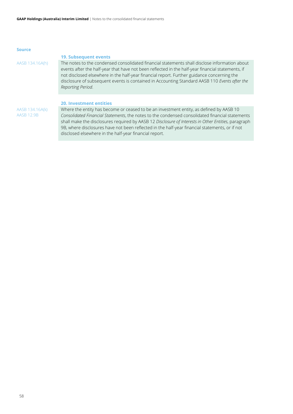# <span id="page-58-0"></span>**19. Subsequent events**

AASB 134.16A(h) The notes to the condensed consolidated financial statements shall disclose information about events after the half-year that have not been reflected in the half-year financial statements, if not disclosed elsewhere in the half-year financial report. Further guidance concerning the disclosure of subsequent events is contained in Accounting Standard AASB 110 *Events after the Reporting Period*.

## <span id="page-58-1"></span>**20. Investment entities**

AASB 134.16A(k) AASB 12.9B

Where the entity has become or ceased to be an investment entity, as defined by AASB 10 *Consolidated Financial Statements*, the notes to the condensed consolidated financial statements shall make the disclosures required by AASB 12 *Disclosure of Interests in Other Entities*, paragraph 9B, where disclosures have not been reflected in the half-year financial statements, or if not disclosed elsewhere in the half-year financial report.